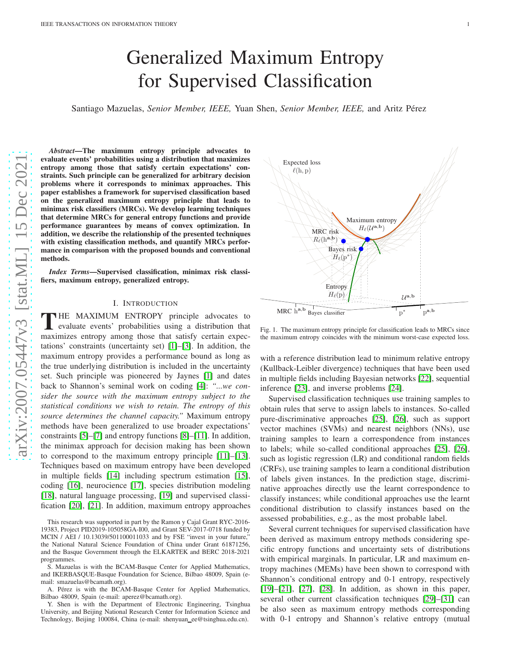# Generalized Maximum Entropy for Supervised Classification

Santiago Mazuelas, *Senior Member, IEEE*, Yuan Shen, *Senior Member, IEEE*, and Aritz Pérez

Abstract—The maximum entropy principle frag weep tesentents evaluate events' probabilities using a distribution that maximizes entropy among those that satisfy certain expectations' constraints. Such principle can be generalized for arbitrary decision problems where it corresponds to minimax approaches. This paper establishes a framework for supervised classification based on the generalized maximum entropy principle that leads to minimax risk classifiers (MRCs). We develop learning techniques that determine MRCs for general entropy functions and provide performance guarantees by means of convex optimization. In addition, we describe the relationship of the presented techniques with existing classification methods, and quantify MRCs performance in comparison with the proposed bounds and conventional methods.

*Index Terms*—Supervised classification, minimax risk classifiers, maximum entropy, generalized entropy.

## I. INTRODUCTION

THE MAXIMUM ENTROPY principle advocates  $\binom{\binom{h}{0}, p^{a,b}}{b}$ <br>evaluate events' probabilities using a distribution that evaluate events' probabilities using a distribution that maximizes entropy among those that satisfy certain expectations' constraints (uncertainty set) [\[1\]](#page-19-0)–[\[3\]](#page-19-1). In addition, the maximum entropy provides a performance bound as long as the true underlying distribution is included in the uncertainty set. Such principle was pioneered by Jaynes [\[1\]](#page-19-0) and dates back to Shannon's seminal work on coding [\[4\]](#page-19-2): *"...we consider the source with the maximum entropy subject to the statistical conditions we wish to retain. The entropy of this source determines the channel capacity."* Maximum entropy methods have been generalized to use broader expectations' constraints [\[5\]](#page-19-3)–[\[7\]](#page-19-4) and entropy functions [\[8\]](#page-19-5)–[\[11\]](#page-19-6). In addition, the minimax approach for decision making has been shown to correspond to the maximum entropy principle [\[11\]](#page-19-6)–[\[13\]](#page-19-7). Techniques based on maximum entropy have been developed in multiple fields [\[14\]](#page-19-8) including spectrum estimation [\[15\]](#page-19-9), coding [\[16\]](#page-19-10), neurocience [\[17\]](#page-19-11), species distribution modeling [\[18\]](#page-19-12), natural language processing, [\[19\]](#page-19-13) and supervised classification [\[20\]](#page-19-14), [\[21\]](#page-19-15). In addition, maximum entropy approaches

S. Mazuelas is with the BCAM-Basque Center for Applied Mathematics, and IKERBASQUE-Basque Foundation for Science, Bilbao 48009, Spain (email: smazuelas@bcamath.org).

A. Pérez is with the BCAM-Basque Center for Applied Mathematics, Bilbao 48009, Spain (e-mail: aperez@bcamath.org).

Y. Shen is with the Department of Electronic Engineering, Tsinghua University, and Beijing National Research Center for Information Science and Technology, Beijing 100084, China (e-mail: shenyuan ee@tsinghua.edu.cn).



<span id="page-0-0"></span>Fig. 1. The maximum entropy principle for classification leads to MRCs since the maximum entropy coincides with the minimum worst-case expected loss.

with a reference distribution lead to minimum relative entropy (Kullback-Leibler divergence) techniques that have been used in multiple fields including Bayesian networks [\[22\]](#page-19-16), sequential inference [\[23\]](#page-19-17), and inverse problems [\[24\]](#page-19-18).

Supervised classification techniques use training samples to obtain rules that serve to assign labels to instances. So-called pure-discriminative approaches [\[25\]](#page-19-19), [\[26\]](#page-19-20), such as support vector machines (SVMs) and nearest neighbors (NNs), use training samples to learn a correspondence from instances to labels; while so-called conditional approaches [\[25\]](#page-19-19), [\[26\]](#page-19-20), such as logistic regression (LR) and conditional random fields (CRFs), use training samples to learn a conditional distribution of labels given instances. In the prediction stage, discriminative approaches directly use the learnt correspondence to classify instances; while conditional approaches use the learnt conditional distribution to classify instances based on the assessed probabilities, e.g., as the most probable label.

Several current techniques for supervised classification have been derived as maximum entropy methods considering specific entropy functions and uncertainty sets of distributions with empirical marginals. In particular, LR and maximum entropy machines (MEMs) have been shown to correspond with Shannon's conditional entropy and 0-1 entropy, respectively [\[19\]](#page-19-13)–[\[21\]](#page-19-15), [\[27\]](#page-19-21), [\[28\]](#page-19-22). In addition, as shown in this paper, several other current classification techniques [\[29\]](#page-19-23)–[\[31\]](#page-19-24) can be also seen as maximum entropy methods corresponding with 0-1 entropy and Shannon's relative entropy (mutual

This research was supported in part by the Ramon y Cajal Grant RYC-2016- 19383, Project PID2019-105058GA-I00, and Grant SEV-2017-0718 funded by MCIN / AEI / 10.13039/501100011033 and by FSE "invest in your future," the National Natural Science Foundation of China under Grant 61871256, and the Basque Government through the ELKARTEK and BERC 2018-2021 programmes.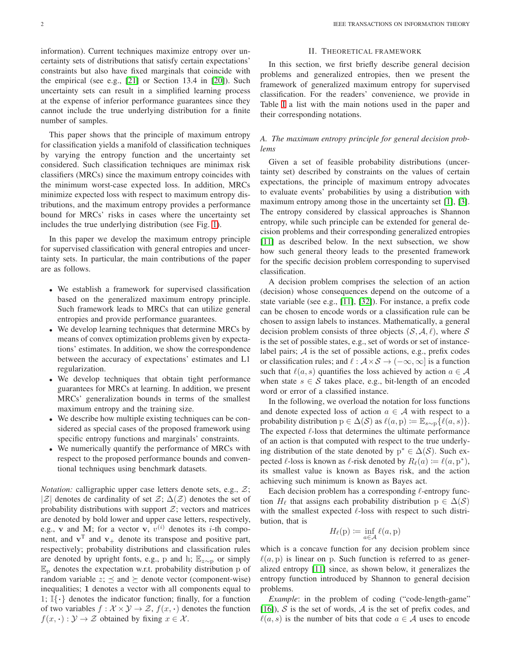information). Current techniques maximize entropy over uncertainty sets of distributions that satisfy certain expectations' constraints but also have fixed marginals that coincide with the empirical (see e.g., [\[21\]](#page-19-15) or Section 13.4 in [\[20\]](#page-19-14)). Such uncertainty sets can result in a simplified learning process at the expense of inferior performance guarantees since they cannot include the true underlying distribution for a finite number of samples.

This paper shows that the principle of maximum entropy for classification yields a manifold of classification techniques by varying the entropy function and the uncertainty set considered. Such classification techniques are minimax risk classifiers (MRCs) since the maximum entropy coincides with the minimum worst-case expected loss. In addition, MRCs minimize expected loss with respect to maximum entropy distributions, and the maximum entropy provides a performance bound for MRCs' risks in cases where the uncertainty set includes the true underlying distribution (see Fig. [1\)](#page-0-0).

In this paper we develop the maximum entropy principle for supervised classification with general entropies and uncertainty sets. In particular, the main contributions of the paper are as follows.

- We establish a framework for supervised classification based on the generalized maximum entropy principle. Such framework leads to MRCs that can utilize general entropies and provide performance guarantees.
- We develop learning techniques that determine MRCs by means of convex optimization problems given by expectations' estimates. In addition, we show the correspondence between the accuracy of expectations' estimates and L1 regularization.
- We develop techniques that obtain tight performance guarantees for MRCs at learning. In addition, we present MRCs' generalization bounds in terms of the smallest maximum entropy and the training size.
- We describe how multiple existing techniques can be considered as special cases of the proposed framework using specific entropy functions and marginals' constraints.
- We numerically quantify the performance of MRCs with respect to the proposed performance bounds and conventional techniques using benchmark datasets.

*Notation:* calligraphic upper case letters denote sets, e.g.,  $Z$ ; |Z| denotes de cardinality of set  $\mathcal{Z}$ ;  $\Delta(\mathcal{Z})$  denotes the set of probability distributions with support  $\mathcal{Z}$ ; vectors and matrices are denoted by bold lower and upper case letters, respectively, e.g., **v** and M; for a vector **v**,  $v^{(i)}$  denotes its *i*-th component, and  $v^T$  and  $v_+$  denote its transpose and positive part, respectively; probability distributions and classification rules are denoted by upright fonts, e.g., p and h;  $E_{z \sim p}$  or simply  $\mathbb{E}_{\text{p}}$  denotes the expectation w.r.t. probability distribution p of random variable  $z$ ;  $\preceq$  and  $\succeq$  denote vector (component-wise) inequalities; 1 denotes a vector with all components equal to 1;  $\mathbb{I}\{\cdot\}$  denotes the indicator function; finally, for a function of two variables  $f : \mathcal{X} \times \mathcal{Y} \to \mathcal{Z}$ ,  $f(x, \cdot)$  denotes the function  $f(x, \cdot): \mathcal{Y} \to \mathcal{Z}$  obtained by fixing  $x \in \mathcal{X}$ .

# II. THEORETICAL FRAMEWORK

In this section, we first briefly describe general decision problems and generalized entropies, then we present the framework of generalized maximum entropy for supervised classification. For the readers' convenience, we provide in Table [I](#page-2-0) a list with the main notions used in the paper and their corresponding notations.

# *A. The maximum entropy principle for general decision problems*

Given a set of feasible probability distributions (uncertainty set) described by constraints on the values of certain expectations, the principle of maximum entropy advocates to evaluate events' probabilities by using a distribution with maximum entropy among those in the uncertainty set [\[1\]](#page-19-0), [\[3\]](#page-19-1). The entropy considered by classical approaches is Shannon entropy, while such principle can be extended for general decision problems and their corresponding generalized entropies [\[11\]](#page-19-6) as described below. In the next subsection, we show how such general theory leads to the presented framework for the specific decision problem corresponding to supervised classification.

A decision problem comprises the selection of an action (decision) whose consequences depend on the outcome of a state variable (see e.g., [\[11\]](#page-19-6), [\[32\]](#page-19-25)). For instance, a prefix code can be chosen to encode words or a classification rule can be chosen to assign labels to instances. Mathematically, a general decision problem consists of three objects  $(S, \mathcal{A}, \ell)$ , where S is the set of possible states, e.g., set of words or set of instancelabel pairs;  $A$  is the set of possible actions, e.g., prefix codes or classification rules; and  $\ell : A \times S \to (-\infty, \infty]$  is a function such that  $\ell(a, s)$  quantifies the loss achieved by action  $a \in \mathcal{A}$ when state  $s \in S$  takes place, e.g., bit-length of an encoded word or error of a classified instance.

In the following, we overload the notation for loss functions and denote expected loss of action  $a \in A$  with respect to a probability distribution  $p \in \Delta(S)$  as  $\ell(a, p) \coloneqq \mathbb{E}_{s \sim p} \{ \ell(a, s) \}.$ The expected  $\ell$ -loss that determines the ultimate performance of an action is that computed with respect to the true underlying distribution of the state denoted by  $p^* \in \Delta(\mathcal{S})$ . Such expected  $\ell$ -loss is known as  $\ell$ -risk denoted by  $R_{\ell}(a) := \ell(a, p^*)$ , its smallest value is known as Bayes risk, and the action achieving such minimum is known as Bayes act.

Each decision problem has a corresponding  $\ell$ -entropy function  $H_\ell$  that assigns each probability distribution  $p \in \Delta(\mathcal{S})$ with the smallest expected  $\ell$ -loss with respect to such distribution, that is

$$
H_{\ell}(\mathbf{p}) \coloneqq \inf_{a \in \mathcal{A}} \ell(a, \mathbf{p})
$$

which is a concave function for any decision problem since  $\ell(a, p)$  is linear on p. Such function is referred to as generalized entropy [\[11\]](#page-19-6) since, as shown below, it generalizes the entropy function introduced by Shannon to general decision problems.

*Example*: in the problem of coding ("code-length-game" [\[16\]](#page-19-10)),  $S$  is the set of words,  $A$  is the set of prefix codes, and  $\ell(a, s)$  is the number of bits that code  $a \in \mathcal{A}$  uses to encode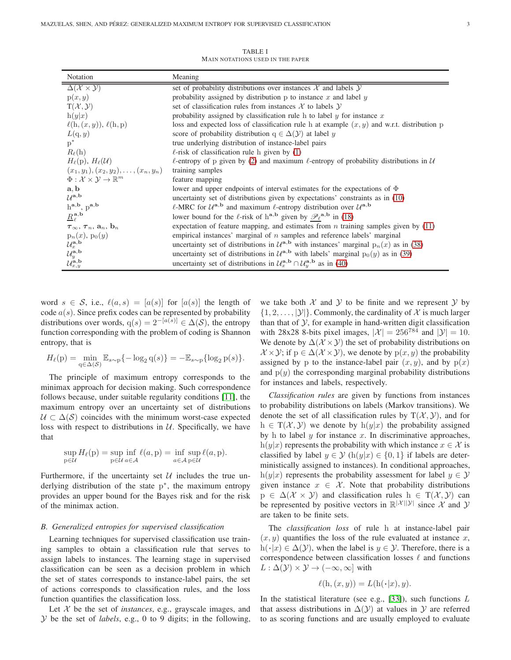TABLE I MAIN NOTATIONS USED IN THE PAPER

<span id="page-2-0"></span>

| Notation                                                                               | Meaning                                                                                                                           |
|----------------------------------------------------------------------------------------|-----------------------------------------------------------------------------------------------------------------------------------|
| $\Delta(\mathcal{X}\times\mathcal{Y})$                                                 | set of probability distributions over instances $\mathcal X$ and labels $\mathcal Y$                                              |
| p(x, y)                                                                                | probability assigned by distribution p to instance x and label $y$                                                                |
| $T(\mathcal{X}, \mathcal{Y})$                                                          | set of classification rules from instances $\mathcal X$ to labels $\mathcal Y$                                                    |
| h(y x)                                                                                 | probability assigned by classification rule h to label $y$ for instance $x$                                                       |
| $\ell(h,(x,y)), \ell(h,p)$                                                             | loss and expected loss of classification rule h at example $(x, y)$ and w.r.t. distribution p                                     |
| $L(\mathrm{q},y)$                                                                      | score of probability distribution $q \in \Delta(\mathcal{Y})$ at label y                                                          |
| $p^*$                                                                                  | true underlying distribution of instance-label pairs                                                                              |
| $R_{\ell}(\mathbf{h})$                                                                 | $\ell$ -risk of classification rule h given by (1)                                                                                |
| $H_{\ell}(\mathrm{p}), H_{\ell}(\mathcal{U})$                                          | $\ell$ -entropy of p given by (2) and maximum $\ell$ -entropy of probability distributions in $\mathcal U$                        |
| $(x_1,y_1), (x_2,y_2), \ldots, (x_n,y_n)$                                              | training samples                                                                                                                  |
| $\Phi: \mathcal{X} \times \mathcal{Y} \rightarrow \mathbb{R}^m$                        | feature mapping                                                                                                                   |
| $\mathbf{a}, \mathbf{b}$                                                               | lower and upper endpoints of interval estimates for the expectations of $\Phi$                                                    |
| $\mathcal{U}^{\mathbf{a},\mathbf{b}}$                                                  | uncertainty set of distributions given by expectations' constraints as in (10)                                                    |
| $h^{a,b}$ , $p^{a,b}$                                                                  | $\ell$ -MRC for $\mathcal{U}^{a,b}$ and maximum $\ell$ -entropy distribution over $\mathcal{U}^{a,b}$                             |
| $R_{\ell}^{\mathbf{a},\mathbf{b}}$                                                     | lower bound for the $\ell$ -risk of h <sup>a,b</sup> given by $\mathscr{P}_{\ell}^{\mathbf{a},\mathbf{b}}$ in (18)                |
| $\tau_{\infty}, \tau_n, \mathbf{a}_n, \mathbf{b}_n$                                    | expectation of feature mapping, and estimates from $n$ training samples given by $(11)$                                           |
|                                                                                        | empirical instances' marginal of $n$ samples and reference labels' marginal                                                       |
| $p_n(x)$ , $p_0(y)$<br>$\mathcal{U}_x^{\mathbf{a},\mathbf{b}}$                         | uncertainty set of distributions in $\mathcal{U}^{a,b}$ with instances' marginal $p_n(x)$ as in (38)                              |
|                                                                                        | uncertainty set of distributions in $\mathcal{U}^{a,b}$ with labels' marginal $p_0(y)$ as in (39)                                 |
| $\mathcal{U}_y^{\mathbf{a},\mathbf{b}}$<br>$\mathcal{U}_{x,y}^{\mathbf{a},\mathbf{b}}$ | uncertainty set of distributions in $\mathcal{U}_x^{\mathbf{a},\mathbf{b}} \cap \mathcal{U}_y^{\mathbf{a},\mathbf{b}}$ as in (40) |

word  $s \in \mathcal{S}$ , i.e.,  $\ell(a, s) = [a(s)]$  for  $[a(s)]$  the length of code  $a(s)$ . Since prefix codes can be represented by probability distributions over words,  $q(s) = 2^{-[a(s)]} \in \Delta(\mathcal{S})$ , the entropy function corresponding with the problem of coding is Shannon entropy, that is

$$
H_{\ell}(p) = \min_{q \in \Delta(\mathcal{S})} \mathbb{E}_{s \sim p} \{-\log_2 q(s)\} = -\mathbb{E}_{s \sim p} \{\log_2 p(s)\}.
$$

The principle of maximum entropy corresponds to the minimax approach for decision making. Such correspondence follows because, under suitable regularity conditions [\[11\]](#page-19-6), the maximum entropy over an uncertainty set of distributions  $U \subset \Delta(S)$  coincides with the minimum worst-case expected loss with respect to distributions in  $U$ . Specifically, we have that

$$
\sup_{p \in \mathcal{U}} H_{\ell}(p) = \sup_{p \in \mathcal{U}} \inf_{a \in \mathcal{A}} \ell(a, p) = \inf_{a \in \mathcal{A}} \sup_{p \in \mathcal{U}} \ell(a, p).
$$

Furthermore, if the uncertainty set  $U$  includes the true underlying distribution of the state p<sup>\*</sup>, the maximum entropy provides an upper bound for the Bayes risk and for the risk of the minimax action.

#### *B. Generalized entropies for supervised classification*

Learning techniques for supervised classification use training samples to obtain a classification rule that serves to assign labels to instances. The learning stage in supervised classification can be seen as a decision problem in which the set of states corresponds to instance-label pairs, the set of actions corresponds to classification rules, and the loss function quantifies the classification loss.

Let  $X$  be the set of *instances*, e.g., grayscale images, and Y be the set of *labels*, e.g., 0 to 9 digits; in the following, we take both  $X$  and  $Y$  to be finite and we represent  $Y$  by  $\{1, 2, \ldots, |\mathcal{Y}|\}$ . Commonly, the cardinality of X is much larger than that of  $\mathcal Y$ , for example in hand-written digit classification with 28x28 8-bits pixel images,  $|\mathcal{X}| = 256^{784}$  and  $|\mathcal{Y}| = 10$ . We denote by  $\Delta(\mathcal{X} \times \mathcal{Y})$  the set of probability distributions on  $\mathcal{X} \times \mathcal{Y}$ ; if  $p \in \Delta(\mathcal{X} \times \mathcal{Y})$ , we denote by  $p(x, y)$  the probability assigned by p to the instance-label pair  $(x, y)$ , and by  $p(x)$ and  $p(y)$  the corresponding marginal probability distributions for instances and labels, respectively.

*Classification rules* are given by functions from instances to probability distributions on labels (Markov transitions). We denote the set of all classification rules by  $T(\mathcal{X}, \mathcal{Y})$ , and for  $h \in T(\mathcal{X}, \mathcal{Y})$  we denote by  $h(y|x)$  the probability assigned by h to label  $y$  for instance  $x$ . In discriminative approaches, h(y|x) represents the probability with which instance  $x \in \mathcal{X}$  is classified by label  $y \in \mathcal{Y}$  (h(y|x)  $\in \{0, 1\}$  if labels are deterministically assigned to instances). In conditional approaches, h(y|x) represents the probability assessment for label  $y \in \mathcal{Y}$ given instance  $x \in \mathcal{X}$ . Note that probability distributions  $p \in \Delta(\mathcal{X} \times \mathcal{Y})$  and classification rules  $h \in T(\mathcal{X}, \mathcal{Y})$  can be represented by positive vectors in  $\mathbb{R}^{|\mathcal{X}||\mathcal{Y}|}$  since X and Y are taken to be finite sets.

The *classification loss* of rule h at instance-label pair  $(x, y)$  quantifies the loss of the rule evaluated at instance x,  $h(\cdot|x) \in \Delta(\mathcal{Y})$ , when the label is  $y \in \mathcal{Y}$ . Therefore, there is a correspondence between classification losses  $\ell$  and functions  $L : \Delta(y) \times y \to (-\infty, \infty]$  with

$$
\ell(\mathbf{h},(x,y))=L(\mathbf{h}(\boldsymbol{\cdot}|x),y).
$$

In the statistical literature (see e.g.,  $[33]$ ), such functions  $L$ that assess distributions in  $\Delta(Y)$  at values in Y are referred to as scoring functions and are usually employed to evaluate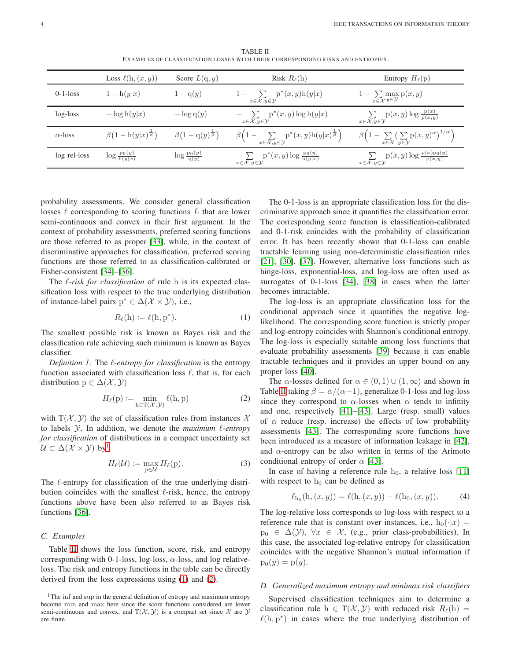TABLE II EXAMPLES OF CLASSIFICATION LOSSES WITH THEIR CORRESPONDING RISKS AND ENTROPIES.

<span id="page-3-2"></span>

|                | Loss $\ell(h,(x,y))$                         | Score $L(q, y)$                   | Risk $R_{\ell}(\mathbf{h})$                                                               | Entropy $H_{\ell}(\textbf{p})$                                                                      |
|----------------|----------------------------------------------|-----------------------------------|-------------------------------------------------------------------------------------------|-----------------------------------------------------------------------------------------------------|
| $0-1$ -loss    | $1 - h(y x)$                                 | $1-q(y)$                          | $1 - \sum p^*(x, y)h(y x)$<br>$x \in \mathcal{X}, y \in \mathcal{Y}$                      | $1 - \sum_{x \in \mathcal{X}} \max_{y \in \mathcal{Y}} p(x, y)$                                     |
| log-loss       | $-\log h(y x)$                               | $-\log q(y)$                      | $-\sum$ $p^*(x, y) \log h(y x)$<br>$x \in \mathcal{X}, y \in \mathcal{Y}$                 | $\sum$ p(x, y) log $\frac{p(x)}{p(x,y)}$<br>$x \in \overline{\mathcal{X}, y} \in \mathcal{Y}$       |
| $\alpha$ -loss | $\beta(1-\mathrm{h}(y x)^{\frac{1}{\beta}})$ | $\beta(1-q(y)^{\frac{1}{\beta}})$ | $\beta\Big(1-\sum_{x\in\mathcal{X},y\in\mathcal{Y}}p^*(x,y)h(y x)^{\frac{1}{\beta}}\Big)$ | $\beta\Big(1-\sum_{x\in\mathcal{X}}\big(\sum_{y\in\mathcal{Y}}p(x,y)^{\alpha}\big)^{1/\alpha}\Big)$ |
| log rel-loss   | $\log \frac{p_0(y)}{h(y x)}$                 | $\log \frac{p_0(y)}{q(y)}$        | $\sum_{x \in \mathcal{X}, y \in \mathcal{Y}} p^*(x, y) \log \frac{p_0(y)}{h(y x)}$        | $\sum_{x \in \mathcal{X}, y \in \mathcal{Y}} p(x, y) \log \frac{p(x) p_0(y)}{p(x, y)}$              |

probability assessments. We consider general classification losses  $\ell$  corresponding to scoring functions  $L$  that are lower semi-continuous and convex in their first argument. In the context of probability assessments, preferred scoring functions are those referred to as proper [\[33\]](#page-19-26), while, in the context of discriminative approaches for classification, preferred scoring functions are those referred to as classification-calibrated or Fisher-consistent [\[34\]](#page-19-27)–[\[36\]](#page-19-28).

The ℓ*-risk for classification* of rule h is its expected classification loss with respect to the true underlying distribution of instance-label pairs  $p^* \in \Delta(\mathcal{X} \times \mathcal{Y})$ , i.e.,

$$
R_{\ell}(h) \coloneqq \ell(h, p^*). \tag{1}
$$

The smallest possible risk is known as Bayes risk and the classification rule achieving such minimum is known as Bayes classifier.

<span id="page-3-3"></span>*Definition 1:* The ℓ*-entropy for classification* is the entropy function associated with classification loss  $\ell$ , that is, for each distribution  $p \in \Delta(\mathcal{X}, \mathcal{Y})$ 

$$
H_{\ell}(p) := \min_{h \in T(\mathcal{X}, \mathcal{Y})} \ell(h, p)
$$
 (2)

with  $T(\mathcal{X}, \mathcal{Y})$  the set of classification rules from instances X to labels Y. In addition, we denote the *maximum* ℓ*-entropy for classification* of distributions in a compact uncertainty set  $U \subset \Delta(\mathcal{X} \times \mathcal{Y})$  by<sup>1</sup>

$$
H_{\ell}(\mathcal{U}) := \max_{\mathbf{p} \in \mathcal{U}} H_{\ell}(\mathbf{p}).\tag{3}
$$

The  $\ell$ -entropy for classification of the true underlying distribution coincides with the smallest  $\ell$ -risk, hence, the entropy functions above have been also referred to as Bayes risk functions [\[36\]](#page-19-28).

## *C. Examples*

Table [II](#page-3-2) shows the loss function, score, risk, and entropy corresponding with 0-1-loss, log-loss,  $\alpha$ -loss, and log relativeloss. The risk and entropy functions in the table can be directly derived from the loss expressions using [\(1\)](#page-3-0) and [\(2\)](#page-3-1).

The 0-1-loss is an appropriate classification loss for the discriminative approach since it quantifies the classification error. The corresponding score function is classification-calibrated and 0-1-risk coincides with the probability of classification error. It has been recently shown that 0-1-loss can enable tractable learning using non-deterministic classification rules [\[21\]](#page-19-15), [\[30\]](#page-19-29), [\[37\]](#page-19-30). However, alternative loss functions such as hinge-loss, exponential-loss, and log-loss are often used as surrogates of 0-1-loss [\[34\]](#page-19-27), [\[38\]](#page-19-31) in cases when the latter becomes intractable.

<span id="page-3-0"></span>The log-loss is an appropriate classification loss for the conditional approach since it quantifies the negative loglikelihood. The corresponding score function is strictly proper and log-entropy coincides with Shannon's conditional entropy. The log-loss is especially suitable among loss functions that evaluate probability assessments [\[39\]](#page-19-32) because it can enable tractable techniques and it provides an upper bound on any proper loss [\[40\]](#page-19-33).

<span id="page-3-1"></span>The  $\alpha$ -losses defined for  $\alpha \in (0,1) \cup (1,\infty)$  and shown in Table [II](#page-3-2) taking  $\beta = \alpha/(\alpha - 1)$ , generalize 0-1-loss and log-loss since they correspond to  $\alpha$ -losses when  $\alpha$  tends to infinity and one, respectively [\[41\]](#page-19-34)–[\[43\]](#page-20-0). Large (resp. small) values of  $\alpha$  reduce (resp. increase) the effects of low probability assessments [\[43\]](#page-20-0). The corresponding score functions have been introduced as a measure of information leakage in [\[42\]](#page-19-35), and  $\alpha$ -entropy can be also written in terms of the Arimoto conditional entropy of order  $\alpha$  [\[43\]](#page-20-0).

In case of having a reference rule  $h_0$ , a relative loss [\[11\]](#page-19-6) with respect to  $h_0$  can be defined as

$$
\ell_{h_0}(h, (x, y)) = \ell(h, (x, y)) - \ell(h_0, (x, y)).
$$
 (4)

The log-relative loss corresponds to log-loss with respect to a reference rule that is constant over instances, i.e.,  $h_0(\cdot|x) =$  $p_0 \in \Delta(\mathcal{Y})$ ,  $\forall x \in \mathcal{X}$ , (e.g., prior class-probabilities). In this case, the associated log-relative entropy for classification coincides with the negative Shannon's mutual information if  $p_0(y) = p(y).$ 

## *D. Generalized maximum entropy and minimax risk classifiers*

Supervised classification techniques aim to determine a classification rule h  $\in$  T( $\mathcal{X}, \mathcal{Y}$ ) with reduced risk  $R_{\ell}$ (h) =  $\ell(h, p^*)$  in cases where the true underlying distribution of

<sup>&</sup>lt;sup>1</sup>The inf and sup in the general definition of entropy and maximum entropy become min and max here since the score functions considered are lower semi-continuous and convex, and  $T(\mathcal{X}, \mathcal{Y})$  is a compact set since X are Y are finite.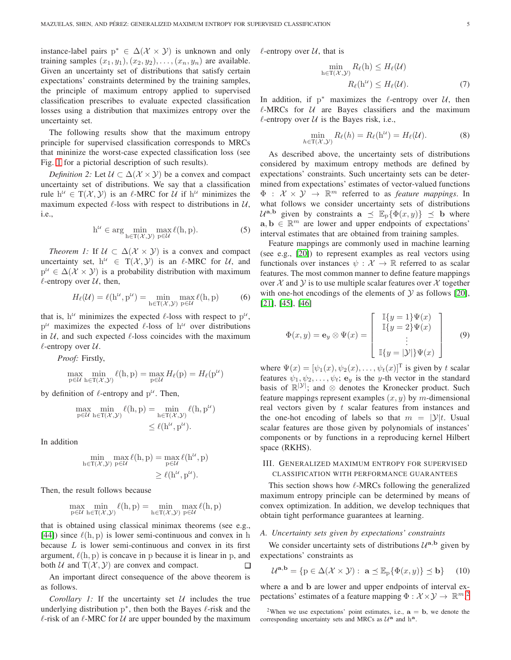instance-label pairs  $p^* \in \Delta(\mathcal{X} \times \mathcal{Y})$  is unknown and only training samples  $(x_1, y_1), (x_2, y_2), \ldots, (x_n, y_n)$  are available. Given an uncertainty set of distributions that satisfy certain expectations' constraints determined by the training samples, the principle of maximum entropy applied to supervised classification prescribes to evaluate expected classification losses using a distribution that maximizes entropy over the uncertainty set.

The following results show that the maximum entropy principle for supervised classification corresponds to MRCs that mininize the worst-case expected classification loss (see Fig. [1](#page-0-0) for a pictorial description of such results).

*Definition 2:* Let  $U \subset \Delta(\mathcal{X} \times \mathcal{Y})$  be a convex and compact uncertainty set of distributions. We say that a classification rule  $h^{\mathcal{U}} \in T(\mathcal{X}, \mathcal{Y})$  is an  $\ell$ -MRC for  $\mathcal{U}$  if  $h^{\mathcal{U}}$  minimizes the maximum expected  $\ell$ -loss with respect to distributions in  $\mathcal{U}$ , i.e.,

$$
h^{U} \in \arg\min_{h \in T(\mathcal{X}, \mathcal{Y})} \max_{p \in \mathcal{U}} \ell(h, p). \tag{5}
$$

<span id="page-4-3"></span>*Theorem 1:* If  $U \subset \Delta(\mathcal{X} \times \mathcal{Y})$  is a convex and compact uncertainty set,  $h^{\mathcal{U}} \in T(\mathcal{X}, \mathcal{Y})$  is an  $\ell$ -MRC for  $\mathcal{U}$ , and  $p^{\mu} \in \Delta(\mathcal{X} \times \mathcal{Y})$  is a probability distribution with maximum  $\ell$ -entropy over  $\mathcal{U}$ , then,

$$
H_{\ell}(\mathcal{U}) = \ell(\mathbf{h}^{\mathcal{U}}, \mathbf{p}^{\mathcal{U}}) = \min_{\mathbf{h} \in \mathcal{T}(\mathcal{X}, \mathcal{Y})} \max_{\mathbf{p} \in \mathcal{U}} \ell(\mathbf{h}, \mathbf{p})
$$
(6)

that is,  $h^{\mathcal{U}}$  minimizes the expected  $\ell$ -loss with respect to  $p^{\mathcal{U}}$ ,  $p^{\mu}$  maximizes the expected  $\ell$ -loss of  $h^{\mu}$  over distributions in  $U$ , and such expected  $\ell$ -loss coincides with the maximum  $\ell$ -entropy over  $\mathcal{U}$ .

*Proof:* Firstly,

$$
\max_{p \in \mathcal{U}} \min_{h \in T(\mathcal{X}, \mathcal{Y})} \ell(h, p) = \max_{p \in \mathcal{U}} H_{\ell}(p) = H_{\ell}(p^{\mathcal{U}})
$$

by definition of  $\ell$ -entropy and  $p^{\mathcal{U}}$ . Then,

$$
\max_{p \in \mathcal{U}} \min_{h \in T(\mathcal{X}, \mathcal{Y})} \ell(h, p) = \min_{h \in T(\mathcal{X}, \mathcal{Y})} \ell(h, p^{\mathcal{U}})
$$
  

$$
\leq \ell(h^{\mathcal{U}}, p^{\mathcal{U}}).
$$

In addition

$$
\min_{h \in T(\mathcal{X}, \mathcal{Y})} \max_{p \in \mathcal{U}} \ell(h, p) = \max_{p \in \mathcal{U}} \ell(h^{\mathcal{U}}, p) \geq \ell(h^{\mathcal{U}}, p^{\mathcal{U}}).
$$

Then, the result follows because

$$
\max_{p \in \mathcal{U}} \min_{h \in T(\mathcal{X}, \mathcal{Y})} \ell(h, p) = \min_{h \in T(\mathcal{X}, \mathcal{Y})} \max_{p \in \mathcal{U}} \ell(h, p)
$$

that is obtained using classical minimax theorems (see e.g., [\[44\]](#page-20-1)) since  $\ell(h, p)$  is lower semi-continuous and convex in h because  $L$  is lower semi-continuous and convex in its first argument,  $\ell(h, p)$  is concave in p because it is linear in p, and both  $U$  and  $T(X, Y)$  are convex and compact.  $\Box$ 

<span id="page-4-4"></span>An important direct consequence of the above theorem is as follows.

*Corollary 1:* If the uncertainty set  $U$  includes the true underlying distribution  $p^*$ , then both the Bayes  $\ell$ -risk and the  $\ell$ -risk of an  $\ell$ -MRC for  $\mathcal U$  are upper bounded by the maximum  $\ell$ -entropy over  $\mathcal{U}$ , that is

$$
\min_{h \in T(\mathcal{X}, \mathcal{Y})} R_{\ell}(h) \le H_{\ell}(\mathcal{U})
$$

$$
R_{\ell}(h^{\mathcal{U}}) \le H_{\ell}(\mathcal{U}). \tag{7}
$$

In addition, if  $p^*$  maximizes the  $\ell$ -entropy over  $\mathcal{U}$ , then  $\ell$ -MRCs for  $U$  are Bayes classifiers and the maximum  $\ell$ -entropy over  $\mathcal U$  is the Bayes risk, i.e.,

$$
\min_{h \in \mathsf{T}(\mathcal{X}, \mathcal{Y})} R_{\ell}(h) = R_{\ell}(\mathbf{h}^{\mathcal{U}}) = H_{\ell}(\mathcal{U}). \tag{8}
$$

<span id="page-4-2"></span>As described above, the uncertainty sets of distributions considered by maximum entropy methods are defined by expectations' constraints. Such uncertainty sets can be determined from expectations' estimates of vector-valued functions  $\Phi$  :  $\mathcal{X} \times \mathcal{Y} \rightarrow \mathbb{R}^m$  referred to as *feature mappings*. In what follows we consider uncertainty sets of distributions  $\mathcal{U}^{\mathbf{a},\mathbf{b}}$  given by constraints  $\mathbf{a} \preceq \mathbb{E}_{p} {\{\Phi(x,y)\}} \preceq \mathbf{b}$  where  $a, b \in \mathbb{R}^m$  are lower and upper endpoints of expectations' interval estimates that are obtained from training samples.

Feature mappings are commonly used in machine learning (see e.g., [\[20\]](#page-19-14)) to represent examples as real vectors using functionals over instances  $\psi : \mathcal{X} \to \mathbb{R}$  referred to as scalar features. The most common manner to define feature mappings over  $\mathcal X$  and  $\mathcal Y$  is to use multiple scalar features over  $\mathcal X$  together with one-hot encodings of the elements of  $Y$  as follows [\[20\]](#page-19-14), [\[21\]](#page-19-15), [\[45\]](#page-20-2), [\[46\]](#page-20-3)

<span id="page-4-5"></span>
$$
\Phi(x,y) = \mathbf{e}_y \otimes \Psi(x) = \begin{bmatrix} \mathbb{I}\{y=1\}\Psi(x) \\ \mathbb{I}\{y=2\}\Psi(x) \\ \vdots \\ \mathbb{I}\{y=|\mathcal{Y}|\}\Psi(x) \end{bmatrix}
$$
(9)

where  $\Psi(x) = [\psi_1(x), \psi_2(x), \dots, \psi_t(x)]^T$  is given by t scalar features  $\psi_1, \psi_2, \dots, \psi_t$ ;  $\mathbf{e}_y$  is the y-th vector in the standard basis of  $\mathbb{R}^{|\mathcal{Y}|}$ ; and  $\otimes$  denotes the Kronecker product. Such feature mappings represent examples  $(x, y)$  by m-dimensional real vectors given by  $t$  scalar features from instances and the one-hot encoding of labels so that  $m = |\mathcal{Y}|t$ . Usual scalar features are those given by polynomials of instances' components or by functions in a reproducing kernel Hilbert space (RKHS).

# <span id="page-4-1"></span>III. GENERALIZED MAXIMUM ENTROPY FOR SUPERVISED CLASSIFICATION WITH PERFORMANCE GUARANTEES

This section shows how  $\ell$ -MRCs following the generalized maximum entropy principle can be determined by means of convex optimization. In addition, we develop techniques that obtain tight performance guarantees at learning.

## *A. Uncertainty sets given by expectations' constraints*

We consider uncertainty sets of distributions  $\mathcal{U}^{\mathbf{a},\mathbf{b}}$  given by expectations' constraints as

<span id="page-4-0"></span>
$$
\mathcal{U}^{\mathbf{a},\mathbf{b}} = \{ \mathrm{p} \in \Delta(\mathcal{X} \times \mathcal{Y}) : \ \mathbf{a} \leq \mathbb{E}_{\mathrm{p}} \{ \Phi(x,y) \} \leq \mathbf{b} \} \tag{10}
$$

where a and b are lower and upper endpoints of interval expectations' estimates of a feature mapping  $\Phi : \mathcal{X} \times \mathcal{Y} \rightarrow \mathbb{R}^{m}$ .<sup>2</sup>

<sup>&</sup>lt;sup>2</sup>When we use expectations' point estimates, i.e.,  $a = b$ , we denote the corresponding uncertainty sets and MRCs as  $\mathcal{U}^{\mathbf{a}}$  and  $\mathbf{h}^{\mathbf{a}}$ .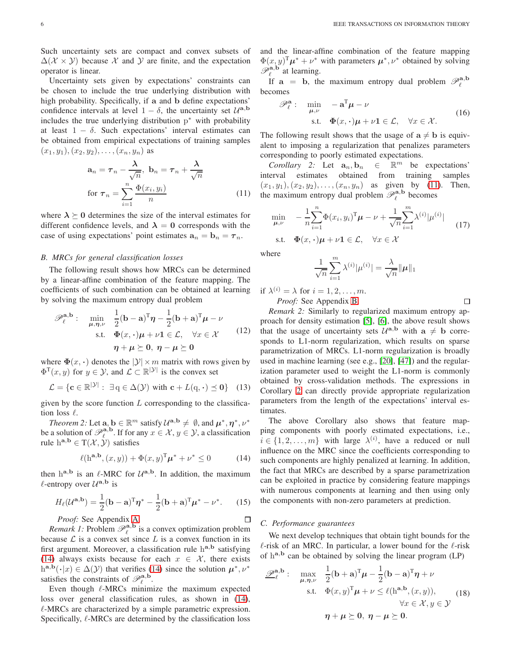Such uncertainty sets are compact and convex subsets of  $\Delta(\mathcal{X} \times \mathcal{Y})$  because X and Y are finite, and the expectation operator is linear.

Uncertainty sets given by expectations' constraints can be chosen to include the true underlying distribution with high probability. Specifically, if a and b define expectations' confidence intervals at level  $1 - \delta$ , the uncertainty set  $\mathcal{U}^{\mathbf{a},\mathbf{b}}$ includes the true underlying distribution  $p^*$  with probability at least  $1 - \delta$ . Such expectations' interval estimates can be obtained from empirical expectations of training samples  $(x_1, y_1), (x_2, y_2), \ldots, (x_n, y_n)$  as

$$
\mathbf{a}_n = \tau_n - \frac{\lambda}{\sqrt{n}}, \ \mathbf{b}_n = \tau_n + \frac{\lambda}{\sqrt{n}}
$$
  
for  $\tau_n = \sum_{i=1}^n \frac{\Phi(x_i, y_i)}{n}$  (11)

where  $\lambda \geq 0$  determines the size of the interval estimates for different confidence levels, and  $\lambda = 0$  corresponds with the case of using expectations' point estimates  $a_n = b_n = \tau_n$ .

## *B. MRCs for general classification losses*

The following result shows how MRCs can be determined by a linear-affine combination of the feature mapping. The coefficients of such combination can be obtained at learning by solving the maximum entropy dual problem

$$
\mathscr{P}_{\ell}^{\mathbf{a},\mathbf{b}}: \quad \min_{\mu,\eta,\nu} \quad \frac{1}{2}(\mathbf{b}-\mathbf{a})^{\mathrm{T}}\eta - \frac{1}{2}(\mathbf{b}+\mathbf{a})^{\mathrm{T}}\mu - \nu
$$
  
s.t.  $\Phi(x,\cdot)\mu + \nu \mathbf{1} \in \mathcal{L}, \quad \forall x \in \mathcal{X}$  (12)  
 $\eta + \mu \succeq 0, \quad \eta - \mu \succeq 0$ 

where  $\Phi(x, \cdot)$  denotes the  $|\mathcal{Y}| \times m$  matrix with rows given by  $\Phi^{T}(x, y)$  for  $y \in \mathcal{Y}$ , and  $\mathcal{L} \subset \mathbb{R}^{|\mathcal{Y}|}$  is the convex set

<span id="page-5-7"></span>
$$
\mathcal{L} = \{ \mathbf{c} \in \mathbb{R}^{|\mathcal{Y}|} : \exists \, \mathbf{q} \in \Delta(\mathcal{Y}) \text{ with } \mathbf{c} + L(\mathbf{q}, \cdot) \preceq \mathbf{0} \} \tag{13}
$$

given by the score function  $L$  corresponding to the classification loss  $\ell$ .

*Theorem 2:* Let  $\mathbf{a}, \mathbf{b} \in \mathbb{R}^m$  satisfy  $\mathcal{U}^{\mathbf{a}, \mathbf{b}} \neq \emptyset$ , and  $\boldsymbol{\mu}^*, \boldsymbol{\eta}^*, \nu^*$ be a solution of  $\mathcal{P}_{\ell}^{\mathbf{a},\mathbf{b}}$ . If for any  $x \in \mathcal{X}, y \in \mathcal{Y}$ , a classification rule  $h^{a,b} \in T(\mathcal{X}, \mathcal{Y})$  satisfies

$$
\ell(\mathbf{h}^{\mathbf{a},\mathbf{b}},(x,y)) + \Phi(x,y)^{\mathrm{T}} \boldsymbol{\mu}^* + \nu^* \le 0 \tag{14}
$$

then  $h^{a,b}$  is an  $\ell$ -MRC for  $\mathcal{U}^{a,b}$ . In addition, the maximum  $\ell$ -entropy over  $\mathcal{U}^{\mathbf{a},\mathbf{b}}$  is

$$
H_{\ell}(\mathcal{U}^{\mathbf{a},\mathbf{b}}) = \frac{1}{2}(\mathbf{b}-\mathbf{a})^{\mathrm{T}}\boldsymbol{\eta}^* - \frac{1}{2}(\mathbf{b}+\mathbf{a})^{\mathrm{T}}\boldsymbol{\mu}^* - \nu^*.
$$
 (15)

*Proof:* See Appendix [A.](#page-14-0)

*Remark 1:* Problem  $\mathcal{P}_{\ell}^{\mathbf{a},\mathbf{b}}$  is a convex optimization problem because  $\mathcal L$  is a convex set since  $L$  is a convex function in its first argument. Moreover, a classification rule ha,b satisfying [\(14\)](#page-5-2) always exists because for each  $x \in \mathcal{X}$ , there exists  $h^{\mathbf{a},\mathbf{b}}(\cdot|x) \in \Delta(\mathcal{Y})$  that verifies [\(14\)](#page-5-2) since the solution  $\mu^*, \nu^*$ satisfies the constraints of  $\mathcal{P}_{\ell}^{\mathbf{a},\mathbf{b}}$ .

Even though  $\ell$ -MRCs minimize the maximum expected loss over general classification rules, as shown in [\(14\)](#page-5-2), ℓ-MRCs are characterized by a simple parametric expression. Specifically,  $\ell$ -MRCs are determined by the classification loss and the linear-affine combination of the feature mapping  $\Phi(x, y)^{\mathrm{T}} \mu^* + \nu^*$  with parameters  $\mu^*, \nu^*$  obtained by solving  $\mathscr{P}_{\ell}^{{\bf a},{\bf b}}$  at learning.

If  $a = b$ , the maximum entropy dual problem  $\mathcal{P}_\ell^{a,b}$ becomes

<span id="page-5-5"></span>
$$
\mathscr{P}_{\ell}^{\mathbf{a}}: \min_{\mu,\nu} -\mathbf{a}^{\mathrm{T}}\mu - \nu
$$
  
s.t.  $\Phi(x, \cdot)\mu + \nu \mathbf{1} \in \mathcal{L}, \quad \forall x \in \mathcal{X}.$  (16)

The following result shows that the usage of  $a \neq b$  is equivalent to imposing a regularization that penalizes parameters corresponding to poorly estimated expectations.

<span id="page-5-1"></span>*Corollary 2:* Let  $\mathbf{a}_n, \mathbf{b}_n \in \mathbb{R}^m$  be expectations' interval estimates obtained from training samples  $(x_1, y_1), (x_2, y_2), \ldots, (x_n, y_n)$  as given by [\(11\)](#page-5-1). Then, the maximum entropy dual problem  $\mathcal{P}_{\ell}^{\mathbf{a},\mathbf{b}}$  becomes

$$
\min_{\mu,\nu} \quad -\frac{1}{n} \sum_{i=1}^{n} \Phi(x_i, y_i)^{\mathrm{T}} \mu - \nu + \frac{1}{\sqrt{n}} \sum_{i=1}^{m} \lambda^{(i)} |\mu^{(i)}|
$$
\n
$$
\text{s.t.} \quad \Phi(x, \cdot) \mu + \nu \mathbf{1} \in \mathcal{L}, \quad \forall x \in \mathcal{X} \tag{17}
$$

where

$$
\frac{1}{\sqrt{n}}\sum_{i=1}^m\lambda^{(i)}|\mu^{(i)}|=\frac{\lambda}{\sqrt{n}}\|\mu\|_1
$$

<span id="page-5-3"></span> $\Box$ 

if  $\lambda^{(i)} = \lambda$  for  $i = 1, 2, \dots, m$ .

*Proof:* See Appendix [B.](#page-16-0)

<span id="page-5-6"></span>*Remark 2:* Similarly to regularized maximum entropy approach for density estimation [\[5\]](#page-19-3), [\[6\]](#page-19-36), the above result shows that the usage of uncertainty sets  $U^{a,b}$  with  $a \neq b$  corresponds to L1-norm regularization, which results on sparse parametrization of MRCs. L1-norm regularization is broadly used in machine learning (see e.g., [\[20\]](#page-19-14), [\[47\]](#page-20-4)) and the regularization parameter used to weight the L1-norm is commonly obtained by cross-validation methods. The expressions in Corollary [2](#page-5-3) can directly provide appropriate regularization parameters from the length of the expectations' interval estimates.

<span id="page-5-9"></span><span id="page-5-2"></span>The above Corollary also shows that feature mapping components with poorly estimated expectations, i.e.,  $i \in \{1, 2, \dots, m\}$  with large  $\lambda^{(i)}$ , have a reduced or null influence on the MRC since the coefficients corresponding to such components are highly penalized at learning. In addition, the fact that MRCs are described by a sparse parametrization can be exploited in practice by considering feature mappings with numerous components at learning and then using only the components with non-zero parameters at prediction.

# <span id="page-5-8"></span>*C. Performance guarantees*

<span id="page-5-4"></span> $\Box$ 

We next develop techniques that obtain tight bounds for the  $\ell$ -risk of an MRC. In particular, a lower bound for the  $\ell$ -risk of  $h^{a,b}$  can be obtained by solving the linear program (LP)

<span id="page-5-0"></span>
$$
\mathscr{D}_{\ell}^{\mathbf{a},\mathbf{b}}: \max_{\mu,\eta,\nu} \frac{1}{2}(\mathbf{b}+\mathbf{a})^{\mathrm{T}}\mu - \frac{1}{2}(\mathbf{b}-\mathbf{a})^{\mathrm{T}}\eta + \nu
$$
  
s.t.  $\Phi(x,y)^{\mathrm{T}}\mu + \nu \leq \ell(\mathbf{h}^{\mathbf{a},\mathbf{b}}, (x,y)),$   
 $\forall x \in \mathcal{X}, y \in \mathcal{Y}$   
 $\eta + \mu \succeq \mathbf{0}, \ \eta - \mu \succeq \mathbf{0}.$  (18)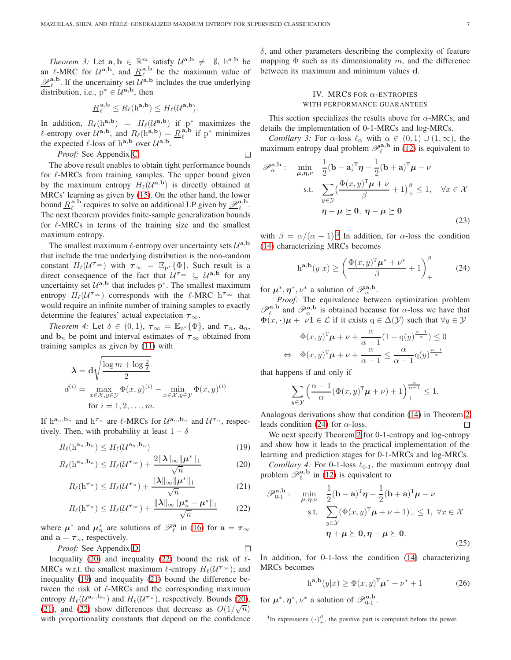<span id="page-6-8"></span>*Theorem 3:* Let  $\mathbf{a}, \mathbf{b} \in \mathbb{R}^m$  satisfy  $\mathcal{U}^{\mathbf{a}, \mathbf{b}} \neq \emptyset$ ,  $\mathbf{h}^{\mathbf{a}, \mathbf{b}}$  be an  $\ell$ -MRC for  $\mathcal{U}^{a,b}$ , and  $\underline{R}_{\ell}^{a,b}$  be the maximum value of  $\underline{\mathscr{P}}_{\ell}^{\mathbf{a},\mathbf{b}}$ . If the uncertainty set  $\mathcal{U}^{\mathbf{a},\mathbf{b}}$  includes the true underlying distribution, i.e.,  $p^* \in \mathcal{U}^{a,b}$ , then

$$
\underline{R}_{\ell}^{\mathbf{a},\mathbf{b}} \leq R_{\ell}(\mathbf{h}^{\mathbf{a},\mathbf{b}}) \leq H_{\ell}(\mathcal{U}^{\mathbf{a},\mathbf{b}}).
$$

In addition,  $R_{\ell}(\mathbf{h}^{\mathbf{a},\mathbf{b}}) = H_{\ell}(\mathcal{U}^{\mathbf{a},\mathbf{b}})$  if  $p^*$  maximizes the  $\ell$ -entropy over  $\mathcal{U}^{a,b}$ , and  $R_{\ell}(\mathbf{h}^{a,b}) = R_{\ell}^{a,b}$  if p<sup>\*</sup> minimizes the expected  $\ell$ -loss of  $h^{a,b}$  over  $\mathcal{U}^{a,b}$ .

*Proof:* See Appendix C. 
$$
\Box
$$

The above result enables to obtain tight performance bounds for  $\ell$ -MRCs from training samples. The upper bound given by the maximum entropy  $H_{\ell}(U^{\mathbf{a},\mathbf{b}})$  is directly obtained at MRCs' learning as given by [\(15\)](#page-5-4). On the other hand, the lower bound  $\underline{R}_{\ell}^{\mathbf{a},\mathbf{b}}$  requires to solve an additional LP given by  $\underline{\mathscr{P}}_{\ell}^{\mathbf{a},\mathbf{b}}$ . The next theorem provides finite-sample generalization bounds for  $\ell$ -MRCs in terms of the training size and the smallest maximum entropy.

The smallest maximum  $\ell$ -entropy over uncertainty sets  $\mathcal{U}^{\mathbf{a},\mathbf{b}}$ that include the true underlying distribution is the non-random constant  $H_{\ell}(\mathcal{U}^{\tau_{\infty}})$  with  $\tau_{\infty} = \mathbb{E}_{p^*}\{\Phi\}$ . Such result is a direct consequence of the fact that  $U^{\tau_{\infty}} \subseteq U^{\mathbf{a},\mathbf{b}}$  for any uncertainty set  $U^{a,b}$  that includes p<sup>\*</sup>. The smallest maximum entropy  $H_{\ell}(U^{\tau_{\infty}})$  corresponds with the  $\ell$ -MRC  $h^{\tau_{\infty}}$  that would require an infinite number of training samples to exactly determine the features' actual expectation  $\tau_{\infty}$ .

*Theorem 4:* Let  $\delta \in (0,1)$ ,  $\tau_{\infty} = \mathbb{E}_{p^*}\{\Phi\}$ , and  $\tau_n$ ,  $a_n$ , and  $\mathbf{b}_n$  be point and interval estimates of  $\boldsymbol{\tau}_{\infty}$  obtained from training samples as given by [\(11\)](#page-5-1) with

$$
\lambda = d\sqrt{\frac{\log m + \log \frac{2}{\delta}}{2}}
$$
  

$$
d^{(i)} = \max_{x \in \mathcal{X}, y \in \mathcal{Y}} \Phi(x, y)^{(i)} - \min_{x \in \mathcal{X}, y \in \mathcal{Y}} \Phi(x, y)^{(i)}
$$
  
for  $i = 1, 2, ..., m$ .

If  $h^{a_n}, b_n$  and  $h^{\tau_n}$  are  $\ell$ -MRCs for  $\mathcal{U}^{a_n}, b_n$  and  $\mathcal{U}^{\tau_n}$ , respectively. Then, with probability at least  $1 - \delta$ 

$$
R_{\ell}(\mathbf{h}^{\mathbf{a}_n, \mathbf{b}_n}) \le H_{\ell}(\mathcal{U}^{\mathbf{a}_n, \mathbf{b}_n})
$$
\n(19)

$$
R_{\ell}(\mathbf{h}^{\mathbf{a}_n, \mathbf{b}_n}) \le H_{\ell}(\mathcal{U}^{\boldsymbol{\tau}_{\infty}}) + \frac{2\|\boldsymbol{\lambda}\|_{\infty}\|\boldsymbol{\mu}^*\|_1}{\sqrt{n}}\tag{20}
$$

$$
R_{\ell}(\mathbf{h}^{\tau_n}) \le H_{\ell}(\mathcal{U}^{\tau_n}) + \frac{\|\lambda\|_{\infty}\|\mu^*\|_1}{\sqrt{n}} \tag{21}
$$

$$
R_{\ell}(\mathbf{h}^{\tau_n}) \le H_{\ell}(\mathcal{U}^{\tau_{\infty}}) + \frac{\|\lambda\|_{\infty}\|\mu_n^* - \mu^*\|_1}{\sqrt{n}} \qquad (22)
$$

where  $\mu^*$  and  $\mu_n^*$  are solutions of  $\mathcal{P}_\ell^{\mathbf{a}}$  in [\(16\)](#page-5-5) for  $\mathbf{a} = \tau_\infty$ and  $\mathbf{a} = \boldsymbol{\tau}_n$ , respectively.

*Proof:* See Appendix D. 
$$
\Box
$$

Inequality [\(20\)](#page-6-0) and inequality [\(22\)](#page-6-1) bound the risk of  $\ell$ -MRCs w.r.t. the smallest maximum  $\ell$ -entropy  $H_{\ell}(\mathcal{U}^{\tau_{\infty}})$ ; and inequality [\(19\)](#page-6-2) and inequality [\(21\)](#page-6-3) bound the difference between the risk of  $\ell$ -MRCs and the corresponding maximum entropy  $H_{\ell}(U^{\mathbf{a}_n,\mathbf{b}_n})$  and  $H_{\ell}(U^{\tau_n})$ , respectively. Bounds [\(20\)](#page-6-0), [\(21\)](#page-6-3), and [\(22\)](#page-6-1) show differences that decrease as  $O(1/\sqrt{n})$ with proportionality constants that depend on the confidence

<span id="page-6-10"></span> $\delta$ , and other parameters describing the complexity of feature mapping  $\Phi$  such as its dimensionality m, and the difference between its maximum and minimum values d.

# <span id="page-6-5"></span>IV. MRCS FOR  $\alpha$ -ENTROPIES WITH PERFORMANCE GUARANTEES

This section specializes the results above for  $\alpha$ -MRCs, and details the implementation of 0-1-MRCs and log-MRCs.

*Corollary 3:* For  $\alpha$ -loss  $\ell_{\alpha}$  with  $\alpha \in (0,1) \cup (1,\infty)$ , the maximum entropy dual problem  $\mathscr{P}_{\ell}^{\mathbf{a},\mathbf{b}}$  in [\(12\)](#page-5-6) is equivalent to

$$
\mathscr{P}_{\alpha}^{\mathbf{a},\mathbf{b}}: \quad \min_{\mu,\eta,\nu} \quad \frac{1}{2}(\mathbf{b}-\mathbf{a})^{\mathrm{T}}\eta - \frac{1}{2}(\mathbf{b}+\mathbf{a})^{\mathrm{T}}\mu - \nu
$$
  
s.t. 
$$
\sum_{y \in \mathcal{Y}} \left(\frac{\Phi(x,y)^{\mathrm{T}}\mu + \nu}{\beta} + 1\right)^{\beta}_{+} \leq 1, \quad \forall x \in \mathcal{X}
$$

$$
\eta + \mu \succeq 0, \quad \eta - \mu \succeq 0
$$
(23)

with  $\beta = \alpha/(\alpha - 1)^3$  In addition, for  $\alpha$ -loss the condition [\(14\)](#page-5-2) characterizing MRCs becomes

<span id="page-6-4"></span>
$$
h^{\mathbf{a},\mathbf{b}}(y|x) \ge \left(\frac{\Phi(x,y)^{\mathrm{T}}\boldsymbol{\mu}^* + \boldsymbol{\nu}^*}{\beta} + 1\right)_{+}^{\beta} \tag{24}
$$

for  $\mu^*, \eta^*, \nu^*$  a solution of  $\mathscr{P}_{\alpha}^{\mathbf{a},\mathbf{b}}$ .

<span id="page-6-11"></span>*Proof:* The equivalence between optimization problem  $\mathscr{P}_{\ell}^{\mathbf{a},\mathbf{b}}$  and  $\mathscr{P}_{\alpha}^{\mathbf{a},\mathbf{b}}$  is obtained because for  $\alpha$ -loss we have that  $\Phi(x, \cdot) \mu + \nu \mathbf{1} \in \mathcal{L}$  if it exists  $q \in \Delta(\mathcal{Y})$  such that  $\forall y \in \mathcal{Y}$ 

$$
\Phi(x, y)^{\mathrm{T}} \mu + \nu + \frac{\alpha}{\alpha - 1} (1 - q(y)^{\frac{\alpha - 1}{\alpha}}) \le 0
$$
  
\n
$$
\Leftrightarrow \Phi(x, y)^{\mathrm{T}} \mu + \nu + \frac{\alpha}{\alpha - 1} \le \frac{\alpha}{\alpha - 1} q(y)^{\frac{\alpha - 1}{\alpha}}
$$

that happens if and only if

<span id="page-6-9"></span>
$$
\sum_{y \in \mathcal{Y}} \left( \frac{\alpha - 1}{\alpha} (\Phi(x, y)^{\mathrm{T}} \boldsymbol{\mu} + \nu) + 1 \right)_{+}^{\frac{\alpha}{\alpha - 1}} \le 1.
$$

Analogous derivations show that condition [\(14\)](#page-5-2) in Theorem [2](#page-5-7) leads condition [\(24\)](#page-6-4) for  $\alpha$ -loss.  $\Box$ 

<span id="page-6-2"></span>We next specify Theorem [2](#page-5-7) for 0-1-entropy and log-entropy and show how it leads to the practical implementation of the learning and prediction stages for 0-1-MRCs and log-MRCs.

<span id="page-6-3"></span><span id="page-6-0"></span>*Corollary 4:* For 0-1-loss  $\ell_{0-1}$ , the maximum entropy dual problem  $\mathscr{P}_{\ell}^{\mathbf{a},\mathbf{b}}$  in [\(12\)](#page-5-6) is equivalent to

<span id="page-6-1"></span>
$$
\mathscr{P}_{0\cdot 1}^{\mathbf{a},\mathbf{b}}: \quad \min_{\mu,\eta,\nu} \quad \frac{1}{2}(\mathbf{b}-\mathbf{a})^{\mathrm{T}}\eta - \frac{1}{2}(\mathbf{b}+\mathbf{a})^{\mathrm{T}}\mu - \nu
$$
  
s.t. 
$$
\sum_{y \in \mathcal{Y}} (\Phi(x,y)^{\mathrm{T}}\mu + \nu + 1)_{+} \leq 1, \ \forall x \in \mathcal{X}
$$

$$
\eta + \mu \succeq 0, \eta - \mu \succeq 0.
$$
 (25)

In addition, for 0-1-loss the condition [\(14\)](#page-5-2) characterizing MRCs becomes

<span id="page-6-7"></span><span id="page-6-6"></span>
$$
ha,b(y|x) \ge \Phi(x,y)T \mu^* + \nu^* + 1
$$
 (26)

for  $\mu^*, \eta^*, \nu^*$  a solution of  $\mathscr{P}_{0-1}^{\mathbf{a},\mathbf{b}}$ .

<sup>3</sup>In expressions  $(\cdot)_{+}^{\beta}$ , the positive part is computed before the power.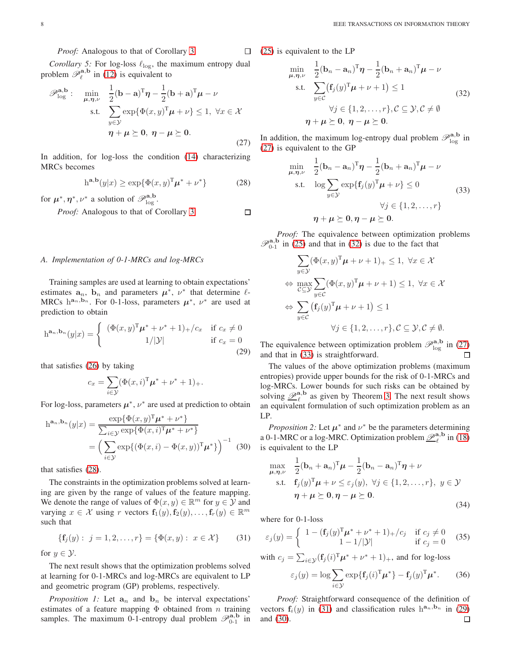*Proof:* Analogous to that of Corollary [3.](#page-6-5)

<span id="page-7-10"></span>*Corollary 5:* For log-loss  $\ell_{\log}$ , the maximum entropy dual problem  $\mathscr{P}_{\ell}^{\mathbf{a},\mathbf{b}}$  in [\(12\)](#page-5-6) is equivalent to

$$
\mathscr{P}_{\log}^{\mathbf{a},\mathbf{b}}: \quad \min_{\mu,\eta,\nu} \quad \frac{1}{2}(\mathbf{b}-\mathbf{a})^{\mathrm{T}}\eta - \frac{1}{2}(\mathbf{b}+\mathbf{a})^{\mathrm{T}}\mu - \nu
$$
  
s.t. 
$$
\sum_{y \in \mathcal{Y}} \exp{\{\Phi(x,y)^{\mathrm{T}}\mu + \nu\}} \le 1, \ \forall x \in \mathcal{X}
$$

$$
\eta + \mu \succeq 0, \ \eta - \mu \succeq 0.
$$
 (27)

In addition, for log-loss the condition [\(14\)](#page-5-2) characterizing MRCs becomes

$$
ha,b(y|x) \ge \exp{\Phi(x,y)T \mu^* + \nu^*}
$$
 (28)

for  $\mu^*, \eta^*, \nu^*$  a solution of  $\mathscr{P}_{\log}^{{\bf a}, {\bf b}}$ .

*Proof:* Analogous to that of Corollary [3.](#page-6-5)

## *A. Implementation of 0-1-MRCs and log-MRCs*

Training samples are used at learning to obtain expectations' estimates  $a_n$ ,  $b_n$  and parameters  $\mu^*$ ,  $\nu^*$  that determine  $\ell$ -MRCs  $h^{a_n, b_n}$ . For 0-1-loss, parameters  $\mu^*$ ,  $\nu^*$  are used at prediction to obtain

$$
h^{\mathbf{a}_n, \mathbf{b}_n}(y|x) = \begin{cases} (\Phi(x, y)^T \mu^* + \nu^* + 1)_+ / c_x & \text{if } c_x \neq 0 \\ 1/|\mathcal{Y}| & \text{if } c_x = 0 \end{cases}
$$
(29)

that satisfies [\(26\)](#page-6-6) by taking

$$
c_x = \sum_{i \in \mathcal{Y}} (\Phi(x, i)^{\mathrm{T}} \mu^* + \nu^* + 1)_+.
$$

For log-loss, parameters  $\mu^*$ ,  $\nu^*$  are used at prediction to obtain

$$
h^{\mathbf{a}_n, \mathbf{b}_n}(y|x) = \frac{\exp\{\Phi(x, y)^T \boldsymbol{\mu}^* + \nu^*\}}{\sum_{i \in \mathcal{Y}} \exp\{\Phi(x, i)^T \boldsymbol{\mu}^* + \nu^*\}}
$$

$$
= \left(\sum_{i \in \mathcal{Y}} \exp\{(\Phi(x, i) - \Phi(x, y))^T \boldsymbol{\mu}^*\}\right)^{-1} (30)
$$

that satisfies [\(28\)](#page-7-0).

The constraints in the optimization problems solved at learning are given by the range of values of the feature mapping. We denote the range of values of  $\Phi(x, y) \in \mathbb{R}^m$  for  $y \in \mathcal{Y}$  and varying  $x \in \mathcal{X}$  using r vectors  $f_1(y), f_2(y), \ldots, f_r(y) \in \mathbb{R}^m$ such that

$$
\{f_j(y): j = 1, 2, \dots, r\} = \{\Phi(x, y): x \in \mathcal{X}\}\qquad(31)
$$

for  $y \in \mathcal{Y}$ .

The next result shows that the optimization problems solved at learning for 0-1-MRCs and log-MRCs are equivalent to LP and geometric program (GP) problems, respectively.

*Proposition 1:* Let  $a_n$  and  $b_n$  be interval expectations' estimates of a feature mapping  $\Phi$  obtained from n training samples. The maximum 0-1-entropy dual problem  $\mathscr{P}_{0-1}^{\mathbf{a},\mathbf{b}}$  in [\(25\)](#page-6-7) is equivalent to the LP

 $\Box$ 

<span id="page-7-0"></span> $\Box$ 

<span id="page-7-2"></span>
$$
\min_{\mu,\eta,\nu} \frac{1}{2} (\mathbf{b}_n - \mathbf{a}_n)^{\mathrm{T}} \eta - \frac{1}{2} (\mathbf{b}_n + \mathbf{a}_n)^{\mathrm{T}} \mu - \nu
$$
\n
$$
\text{s.t.} \quad \sum_{y \in \mathcal{C}} (\mathbf{f}_j(y)^{\mathrm{T}} \mu + \nu + 1) \le 1
$$
\n
$$
\forall j \in \{1, 2, \dots, r\}, \mathcal{C} \subseteq \mathcal{Y}, \mathcal{C} \neq \emptyset
$$
\n
$$
\eta + \mu \ge 0, \ \eta - \mu \ge 0.
$$
\n(32)

<span id="page-7-1"></span>In addition, the maximum log-entropy dual problem  $\mathscr{P}_{\log}^{\mathbf{a},\mathbf{b}}$  in [\(27\)](#page-7-1) is equivalent to the GP

<span id="page-7-3"></span>
$$
\min_{\mu,\eta,\nu} \quad \frac{1}{2} (\mathbf{b}_n - \mathbf{a}_n)^{\mathrm{T}} \boldsymbol{\eta} - \frac{1}{2} (\mathbf{b}_n + \mathbf{a}_n)^{\mathrm{T}} \boldsymbol{\mu} - \nu
$$
\n
$$
\text{s.t.} \quad \log \sum_{y \in \mathcal{Y}} \exp\{\mathbf{f}_j(y)^{\mathrm{T}} \boldsymbol{\mu} + \nu\} \le 0
$$
\n
$$
\forall j \in \{1, 2, \dots, r\}
$$
\n
$$
\boldsymbol{\eta} + \boldsymbol{\mu} \succeq \mathbf{0}, \boldsymbol{\eta} - \boldsymbol{\mu} \succeq \mathbf{0}.
$$
\n(33)

*Proof:* The equivalence between optimization problems  $\mathscr{P}_{0-1}^{a,b}$  in [\(25\)](#page-6-7) and that in [\(32\)](#page-7-2) is due to the fact that

$$
\sum_{y \in \mathcal{Y}} (\Phi(x, y)^{\mathrm{T}} \mu + \nu + 1)_{+} \leq 1, \ \forall x \in \mathcal{X}
$$
  
\n
$$
\Leftrightarrow \max_{\mathcal{C} \subseteq \mathcal{Y}} \sum_{y \in \mathcal{C}} (\Phi(x, y)^{\mathrm{T}} \mu + \nu + 1) \leq 1, \ \forall x \in \mathcal{X}
$$
  
\n
$$
\Leftrightarrow \sum_{y \in \mathcal{C}} (\mathbf{f}_{j}(y)^{\mathrm{T}} \mu + \nu + 1) \leq 1
$$
  
\n
$$
\forall j \in \{1, 2, \dots, r\}, \mathcal{C} \subseteq \mathcal{Y}, \mathcal{C} \neq \emptyset.
$$

<span id="page-7-5"></span>The equivalence between optimization problem  $\mathscr{P}_{\text{log}}^{\mathbf{a},\mathbf{b}}$  in [\(27\)](#page-7-1) and that in [\(33\)](#page-7-3) is straightforward.

The values of the above optimization problems (maximum entropies) provide upper bounds for the risk of 0-1-MRCs and log-MRCs. Lower bounds for such risks can be obtained by solving  $\mathcal{P}_{\ell}^{\mathbf{a},\mathbf{b}}$  as given by Theorem [3.](#page-6-8) The next result shows an equivalent formulation of such optimization problem as an LP.

<span id="page-7-12"></span><span id="page-7-6"></span>*Proposition 2:* Let  $\mu^*$  and  $\nu^*$  be the parameters determining a 0-1-MRC or a log-MRC. Optimization problem  $\underline{\mathscr{P}}_{\ell}^{\mathbf{a},\mathbf{b}}$  in [\(18\)](#page-5-0) is equivalent to the LP

$$
\max_{\mu,\eta,\nu} \quad \frac{1}{2} (\mathbf{b}_n + \mathbf{a}_n)^{\mathrm{T}} \boldsymbol{\mu} - \frac{1}{2} (\mathbf{b}_n - \mathbf{a}_n)^{\mathrm{T}} \boldsymbol{\eta} + \nu
$$
\n
$$
\text{s.t.} \quad \mathbf{f}_j(y)^{\mathrm{T}} \boldsymbol{\mu} + \nu \le \varepsilon_j(y), \ \forall j \in \{1, 2, \dots, r\}, \ y \in \mathcal{Y}
$$
\n
$$
\boldsymbol{\eta} + \boldsymbol{\mu} \succeq \mathbf{0}, \boldsymbol{\eta} - \boldsymbol{\mu} \succeq \mathbf{0}.
$$
\n(34)

where for 0-1-loss

<span id="page-7-4"></span>
$$
\varepsilon_j(y) = \begin{cases} 1 - (\mathbf{f}_j(y)^T \boldsymbol{\mu}^* + \boldsymbol{\nu}^* + 1)_+ / c_j & \text{if } c_j \neq 0 \\ 1 - 1/|\mathcal{Y}| & \text{if } c_j = 0 \end{cases}
$$
 (35)

with  $c_j = \sum_{i \in \mathcal{Y}} (\mathbf{f}_j(i)^{\mathrm{T}} \boldsymbol{\mu}^* + \nu^* + 1)_+$ , and for log-loss

<span id="page-7-9"></span><span id="page-7-8"></span><span id="page-7-7"></span>
$$
\varepsilon_j(y) = \log \sum_{i \in \mathcal{Y}} \exp\{\mathbf{f}_j(i)^{\mathrm{T}} \boldsymbol{\mu}^*\} - \mathbf{f}_j(y)^{\mathrm{T}} \boldsymbol{\mu}^*.
$$
 (36)

<span id="page-7-11"></span>*Proof:* Straightforward consequence of the definition of vectors  $f_i(y)$  in [\(31\)](#page-7-4) and classification rules  $h^{a_n}, b_n$  in [\(29\)](#page-7-5) and [\(30\)](#page-7-6). $\Box$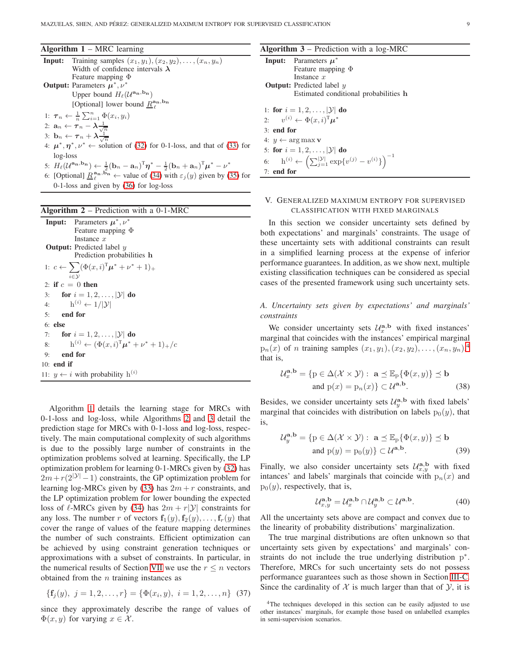## <span id="page-8-3"></span>Algorithm  $1 - MRC$  learning

|          | <b>Input:</b> Training samples $(x_1, y_1), (x_2, y_2), \ldots, (x_n, y_n)$                |  |  |
|----------|--------------------------------------------------------------------------------------------|--|--|
|          | Width of confidence intervals $\lambda$                                                    |  |  |
|          | Feature mapping $\Phi$                                                                     |  |  |
|          | <b>Output:</b> Parameters $\mu^*, \nu^*$                                                   |  |  |
|          | Upper bound $H_{\ell}(\mathcal{U}^{\mathbf{a_n}, \mathbf{b_n}})$                           |  |  |
|          | [Optional] lower bound $\underline{R}^{\mathbf{a_n},\mathbf{b_n}}_{\rho}$                  |  |  |
|          | 1: $\tau_n \leftarrow \frac{1}{n} \sum_{i=1}^n \Phi(x_i, y_i)$                             |  |  |
|          | 2: $\mathbf{a}_n \leftarrow \boldsymbol{\tau}_n - \boldsymbol{\lambda} \frac{1}{\sqrt{n}}$ |  |  |
|          | 3: $\mathbf{b}_n \leftarrow \boldsymbol{\tau}_n + \boldsymbol{\lambda} \frac{1}{\sqrt{n}}$ |  |  |
|          | 4: $\mu^*, \eta^*, \nu^* \leftarrow$ solution of (32) for 0-1-loss, and that of (33) for   |  |  |
| log-loss |                                                                                            |  |  |
|          | $ \tau\tau$ (a can be \ $1/\tau$ ) $\tau$ ) $\tau$ + $1/\tau$ $\tau$ ) $\tau$ + $\tau$     |  |  |

- 5:  $H_{\ell}(\mathcal{U}^{\mathbf{a_n}, \mathbf{b_n}}) \leftarrow \frac{1}{2}(\mathbf{b}_n \mathbf{a}_n)^{\mathrm{T}} \boldsymbol{\eta}^* \frac{1}{2}(\mathbf{b}_n + \mathbf{a}_n)^{\mathrm{T}} \boldsymbol{\mu}^* \nu^*$
- 6: [Optional]  $\underline{R}_{\ell}^{\mathbf{a}_n,\mathbf{b}_n} \leftarrow$  value of [\(34\)](#page-7-7) with  $\varepsilon_j(y)$  given by [\(35\)](#page-7-8) for 0-1-loss and given by [\(36\)](#page-7-9) for log-loss

# <span id="page-8-4"></span>Algorithm 2 – Prediction with a 0-1-MRC

|    | <b>Input:</b> Parameters $\mu^*, \nu^*$                       |
|----|---------------------------------------------------------------|
|    | Feature mapping $\Phi$                                        |
|    | Instance $x$                                                  |
|    | <b>Output:</b> Predicted label $y$                            |
|    | Prediction probabilities h                                    |
|    | 1: $c \leftarrow \sum (\Phi(x, i)^{T} \mu^* + \nu^* + 1)_{+}$ |
|    | $i \in \mathcal{Y}$                                           |
|    | 2: if $c = 0$ then                                            |
|    | 3: for $i = 1, 2, ,  \mathcal{Y} $ do                         |
|    | $\mathbf{h}^{(i)} \leftarrow 1/ \mathcal{Y} $<br>4:           |
| 5: | end for                                                       |
|    | $6:$ else                                                     |
| 7: | for $i = 1, 2, ,  \mathcal{Y} $ do                            |
| 8: | $h^{(i)} \leftarrow (\Phi(x, i)^T \mu^* + \nu^* + 1)_+ / c$   |
| 9: | end for                                                       |
|    | 10: end if                                                    |
|    | 11: $y \leftarrow i$ with probability $h^{(i)}$               |

Algorithm [1](#page-8-3) details the learning stage for MRCs with 0-1-loss and log-loss, while Algorithms [2](#page-8-4) and [3](#page-8-5) detail the prediction stage for MRCs with 0-1-loss and log-loss, respectively. The main computational complexity of such algorithms is due to the possibly large number of constraints in the optimization problems solved at learning. Specifically, the LP optimization problem for learning 0-1-MRCs given by [\(32\)](#page-7-2) has  $2m+r(2^{|\mathcal{Y}|}-1)$  constraints, the GP optimization problem for learning log-MRCs given by [\(33\)](#page-7-3) has  $2m + r$  constraints, and the LP optimization problem for lower bounding the expected loss of  $\ell$ -MRCs given by [\(34\)](#page-7-7) has  $2m + r|\mathcal{Y}|$  constraints for any loss. The number r of vectors  $f_1(y), f_2(y), \ldots, f_r(y)$  that cover the range of values of the feature mapping determines the number of such constraints. Efficient optimization can be achieved by using constraint generation techniques or approximations with a subset of constraints. In particular, in the numerical results of Section [VII](#page-12-0) we use the  $r \leq n$  vectors obtained from the  $n$  training instances as

$$
\{\mathbf{f}_j(y),\ j=1,2,\ldots,r\} = \{\Phi(x_i,y),\ i=1,2,\ldots,n\} \quad (37)
$$

since they approximately describe the range of values of  $\Phi(x, y)$  for varying  $x \in \mathcal{X}$ .

## <span id="page-8-5"></span>Algorithm  $3$  – Prediction with a log-MRC

|              | <b>Input:</b> Parameters $\mu^*$                                                                 |
|--------------|--------------------------------------------------------------------------------------------------|
|              | Feature mapping $\Phi$                                                                           |
|              | Instance $x$                                                                                     |
|              | <b>Output:</b> Predicted label $\eta$                                                            |
|              | Estimated conditional probabilities h                                                            |
|              |                                                                                                  |
|              | 1: for $i = 1, 2, ,  \mathcal{Y} $ do                                                            |
|              | 2: $v^{(i)} \leftarrow \Phi(x, i)^{\mathrm{T}} \boldsymbol{\mu}^*$                               |
| $3:$ end for |                                                                                                  |
|              | 4: $y \leftarrow \arg \max \mathbf{v}$                                                           |
|              | 5: for $i = 1, 2, ,  \mathcal{Y} $ do                                                            |
|              | 6: $h^{(i)} \leftarrow \left( \sum_{j=1}^{ \mathcal{Y} } \exp\{v^{(j)} - v^{(i)}\} \right)^{-1}$ |
| $7:$ end for |                                                                                                  |

# V. GENERALIZED MAXIMUM ENTROPY FOR SUPERVISED CLASSIFICATION WITH FIXED MARGINALS

In this section we consider uncertainty sets defined by both expectations' and marginals' constraints. The usage of these uncertainty sets with additional constraints can result in a simplified learning process at the expense of inferior performance guarantees. In addition, as we show next, multiple existing classification techniques can be considered as special cases of the presented framework using such uncertainty sets.

*A. Uncertainty sets given by expectations' and marginals' constraints*

We consider uncertainty sets  $\mathcal{U}_x^{\mathbf{a},\mathbf{b}}$  with fixed instances' marginal that coincides with the instances' empirical marginal  $p_n(x)$  of *n* training samples  $(x_1, y_1), (x_2, y_2), \ldots, (x_n, y_n),$ <sup>4</sup> that is,

<span id="page-8-0"></span>
$$
\mathcal{U}_x^{\mathbf{a},\mathbf{b}} = \{ \mathbf{p} \in \Delta(\mathcal{X} \times \mathcal{Y}) : \mathbf{a} \le \mathbb{E}_p \{ \Phi(x,y) \} \le \mathbf{b} \text{ and } \mathbf{p}(x) = \mathbf{p}_n(x) \} \subset \mathcal{U}^{\mathbf{a},\mathbf{b}}.
$$
 (38)

Besides, we consider uncertainty sets  $\mathcal{U}_y^{\mathbf{a},\mathbf{b}}$  with fixed labels' marginal that coincides with distribution on labels  $p_0(y)$ , that is,

$$
\mathcal{U}_y^{\mathbf{a},\mathbf{b}} = \{ \mathbf{p} \in \Delta(\mathcal{X} \times \mathcal{Y}) : \ \mathbf{a} \le \mathbb{E}_{\mathbf{p}} \{ \Phi(x, y) \} \le \mathbf{b} \}
$$
  
and  $\mathbf{p}(y) = \mathbf{p}_0(y) \} \subset \mathcal{U}^{\mathbf{a},\mathbf{b}}.$  (39)

Finally, we also consider uncertainty sets  $\mathcal{U}_{x,y}^{\mathbf{a},\mathbf{b}}$  with fixed intances' and labels' marginals that coincide with  $p_n(x)$  and  $p_0(y)$ , respectively, that is,

<span id="page-8-2"></span><span id="page-8-1"></span>
$$
\mathcal{U}_{x,y}^{\mathbf{a},\mathbf{b}} = \mathcal{U}_x^{\mathbf{a},\mathbf{b}} \cap \mathcal{U}_y^{\mathbf{a},\mathbf{b}} \subset \mathcal{U}^{\mathbf{a},\mathbf{b}}.\tag{40}
$$

All the uncertainty sets above are compact and convex due to the linearity of probability distributions' marginalization.

The true marginal distributions are often unknown so that uncertainty sets given by expectations' and marginals' constraints do not include the true underlying distribution p<sup>\*</sup>. Therefore, MRCs for such uncertainty sets do not possess performance guarantees such as those shown in Section [III-C.](#page-5-8) Since the cardinality of  $X$  is much larger than that of  $Y$ , it is

<span id="page-8-6"></span><sup>4</sup>The techniques developed in this section can be easily adjusted to use other instances' marginals, for example those based on unlabelled examples in semi-supervision scenarios.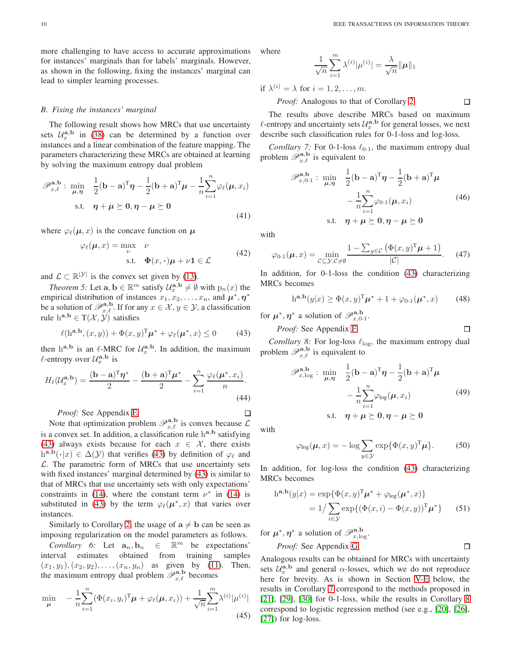more challenging to have access to accurate approximations for instances' marginals than for labels' marginals. However, as shown in the following, fixing the instances' marginal can lead to simpler learning processes.

## *B. Fixing the instances' marginal*

The following result shows how MRCs that use uncertainty sets  $U_x^{\mathbf{a},\mathbf{b}}$  in [\(38\)](#page-8-0) can be determined by a function over instances and a linear combination of the feature mapping. The parameters characterizing these MRCs are obtained at learning by solving the maximum entropy dual problem

$$
\mathscr{P}_{x,\ell}^{\mathbf{a},\mathbf{b}} : \min_{\mu,\eta} \quad \frac{1}{2}(\mathbf{b}-\mathbf{a})^{\mathrm{T}}\eta - \frac{1}{2}(\mathbf{b}+\mathbf{a})^{\mathrm{T}}\mu - \frac{1}{n}\sum_{i=1}^{n}\varphi_{\ell}(\mu,x_i)
$$
  
s.t.  $\eta + \mu \geq 0, \eta - \mu \geq 0$  (41)

where  $\varphi_{\ell}(\mu, x)$  is the concave function on  $\mu$ 

$$
\varphi_{\ell}(\mu, x) = \max_{\nu} \quad \nu
$$
  
s.t.  $\Phi(x, \cdot)\mu + \nu \mathbf{1} \in \mathcal{L}$  (42)

and  $\mathcal{L} \subset \mathbb{R}^{|\mathcal{Y}|}$  is the convex set given by [\(13\)](#page-5-9).

*Theorem 5:* Let  $\mathbf{a}, \mathbf{b} \in \mathbb{R}^m$  satisfy  $\mathcal{U}_x^{\mathbf{a}, \mathbf{b}} \neq \emptyset$  with  $p_n(x)$  the empirical distribution of instances  $x_1, x_2, \ldots, x_n$ , and  $\mu^*, \eta^*$ be a solution of  $\mathscr{P}_{x,\ell}^{\mathbf{a},\mathbf{b}}$ . If for any  $x \in \mathcal{X}, y \in \mathcal{Y}$ , a classification rule  $h^{a,b} \in T(\mathcal{X}, \mathcal{Y})$  satisfies

$$
\ell(\mathbf{h}^{\mathbf{a},\mathbf{b}},(x,y)) + \Phi(x,y)^{\mathrm{T}} \boldsymbol{\mu}^* + \varphi_{\ell}(\boldsymbol{\mu}^*,x) \le 0 \tag{43}
$$

then h<sup>a,b</sup> is an  $\ell$ -MRC for  $\mathcal{U}_x^{\mathbf{a},\mathbf{b}}$ . In addition, the maximum  $\ell$ -entropy over  $\mathcal{U}_x^{\mathbf{a},\mathbf{b}}$  is

$$
H_{\ell}(\mathcal{U}_x^{\mathbf{a},\mathbf{b}}) = \frac{(\mathbf{b}-\mathbf{a})^{\mathrm{T}}\boldsymbol{\eta}^*}{2} - \frac{(\mathbf{b}+\mathbf{a})^{\mathrm{T}}\boldsymbol{\mu}^*}{2} - \sum_{i=1}^n \frac{\varphi_{\ell}(\boldsymbol{\mu}^*, x_i)}{n}.
$$
\n(44)

*Proof:* See Appendix [E.](#page-17-0)

Note that optimization problem  $\mathscr{P}_{x,\ell}^{\mathbf{a},\mathbf{b}}$  is convex because  $\mathcal{L}$ is a convex set. In addition, a classification rule  $h^{a,b}$  satisfying [\(43\)](#page-9-0) always exists because for each  $x \in \mathcal{X}$ , there exists  $h^{\mathbf{a},\mathbf{b}}(\cdot|x) \in \Delta(\mathcal{Y})$  that verifies [\(43\)](#page-9-0) by definition of  $\varphi_{\ell}$  and  $\mathcal{L}$ . The parametric form of MRCs that use uncertainty sets with fixed instances' marginal determined by [\(43\)](#page-9-0) is similar to that of MRCs that use uncertainty sets with only expectations' constraints in [\(14\)](#page-5-2), where the constant term  $\nu^*$  in [\(14\)](#page-5-2) is substituted in [\(43\)](#page-9-0) by the term  $\varphi_{\ell}(\mu^*, x)$  that varies over instances.

Similarly to Corollary [2,](#page-5-3) the usage of  $a \neq b$  can be seen as imposing regularization on the model parameters as follows.

*Corollary 6:* Let  $\mathbf{a}_n, \mathbf{b}_n \in$  $\mathbb{R}^m$  be expectations' interval estimates obtained from training samples  $(x_1, y_1), (x_2, y_2), \ldots, (x_n, y_n)$  as given by [\(11\)](#page-5-1). Then, the maximum entropy dual problem  $\mathscr{P}_{x,\ell}^{{\bf a},{\bf b}}$  becomes

$$
\min_{\mu} \quad -\frac{1}{n} \sum_{i=1}^{n} (\Phi(x_i, y_i)^{\mathrm{T}} \mu + \varphi_{\ell}(\mu, x_i)) + \frac{1}{\sqrt{n}} \sum_{i=1}^{m} \lambda^{(i)} |\mu^{(i)}| \tag{45}
$$

10 **IEEE TRANSACTIONS ON INFORMATION THEORY** 

where

$$
\frac{1}{\sqrt{n}}\sum_{i=1}^{m}\lambda^{(i)}|\mu^{(i)}| = \frac{\lambda}{\sqrt{n}}||\mu||_1
$$

if  $\lambda^{(i)} = \lambda$  for  $i = 1, 2, \dots, m$ .

*Proof:* Analogous to that of Corollary [2.](#page-5-3)

The results above describe MRCs based on maximum  $\ell$ -entropy and uncertainty sets  $\mathcal{U}_x^{\mathbf{a},\mathbf{b}}$  for general losses, we next describe such classification rules for 0-1-loss and log-loss.

*Corollary 7:* For 0-1-loss  $\ell_{0-1}$ , the maximum entropy dual problem  $\mathscr{P}_{x,\ell}^{\mathbf{a},\mathbf{b}}$  is equivalent to

$$
\mathscr{P}_{x,0-1}^{\mathbf{a},\mathbf{b}} : \min_{\mu,\eta} \quad \frac{1}{2}(\mathbf{b}-\mathbf{a})^{\mathrm{T}}\eta - \frac{1}{2}(\mathbf{b}+\mathbf{a})^{\mathrm{T}}\mu
$$

$$
- \frac{1}{n}\sum_{i=1}^{n}\varphi_{0-1}(\mu,x_i) \tag{46}
$$
s.t.  $\eta + \mu \ge 0, \eta - \mu \ge 0$ 

<span id="page-9-7"></span>with

$$
\varphi_{0\text{-}1}(\boldsymbol{\mu},x) = \min_{\mathcal{C} \subseteq \mathcal{Y}, \mathcal{C} \neq \emptyset} \frac{1 - \sum_{y \in \mathcal{C}} \left( \Phi(x, y)^{\mathrm{T}} \boldsymbol{\mu} + 1 \right)}{|\mathcal{C}|}.
$$
 (47)

<span id="page-9-3"></span>In addition, for 0-1-loss the condition [\(43\)](#page-9-0) characterizing MRCs becomes

$$
h^{a,b}(y|x) \ge \Phi(x,y)^{T} \mu^{*} + 1 + \varphi_{0\text{-}1}(\mu^{*},x) \tag{48}
$$

for  $\mu^*, \eta^*$  a solution of  $\mathscr{P}_{x, 0\text{-}1}^{\mathbf{a}, \mathbf{b}}$ .

*Proof:* See Appendix [F.](#page-18-0)

<span id="page-9-2"></span><span id="page-9-0"></span>*Corollary 8:* For log-loss  $\ell_{\text{log}}$ , the maximum entropy dual problem  $\mathscr{P}_{x,\ell}^{\mathbf{a},\mathbf{b}}$  is equivalent to

$$
\mathscr{P}_{x,\log}^{\mathbf{a},\mathbf{b}} : \min_{\mu,\eta} \quad \frac{1}{2} (\mathbf{b} - \mathbf{a})^{\mathrm{T}} \eta - \frac{1}{2} (\mathbf{b} + \mathbf{a})^{\mathrm{T}} \mu
$$

$$
- \frac{1}{n} \sum_{i=1}^{n} \varphi_{\log}(\mu, x_i) \tag{49}
$$
s.t.  $\eta + \mu \ge 0, \eta - \mu \ge 0$ 

with

$$
\varphi_{\log}(\boldsymbol{\mu}, x) = -\log \sum_{y \in \mathcal{Y}} \exp{\{\Phi(x, y)^{\mathrm{T}} \boldsymbol{\mu}\}}.
$$
 (50)

In addition, for log-loss the condition [\(43\)](#page-9-0) characterizing MRCs becomes

$$
h^{\mathbf{a},\mathbf{b}}(y|x) = \exp\{\Phi(x,y)^{\mathrm{T}}\boldsymbol{\mu}^* + \varphi_{\log}(\boldsymbol{\mu}^*,x)\}
$$
  
=  $1/\sum_{i\in\mathcal{Y}} \exp\{(\Phi(x,i) - \Phi(x,y))^{\mathrm{T}}\boldsymbol{\mu}^*\}$  (51)

<span id="page-9-5"></span>for  $\mu^*, \eta^*$  a solution of  $\mathscr{P}_{x,\log}^{{\bf a},{\bf b}}$ .

*Proof:* See Appendix [G.](#page-18-1)  $\Box$ 

Analogous results can be obtained for MRCs with uncertainty sets  $\mathcal{U}_x^{\mathbf{a},\mathbf{b}}$  and general  $\alpha$ -losses, which we do not reproduce here for brevity. As is shown in Section [V-E](#page-11-0) below, the results in Corollary [7](#page-9-1) correspond to the methods proposed in [\[21\]](#page-19-15), [\[29\]](#page-19-23), [\[30\]](#page-19-29) for 0-1-loss, while the results in Corollary [8](#page-9-2) correspond to logistic regression method (see e.g., [\[20\]](#page-19-14), [\[26\]](#page-19-20), [\[27\]](#page-19-21)) for log-loss.

 $\Box$ 

<span id="page-9-6"></span>

<span id="page-9-4"></span><span id="page-9-1"></span> $\Box$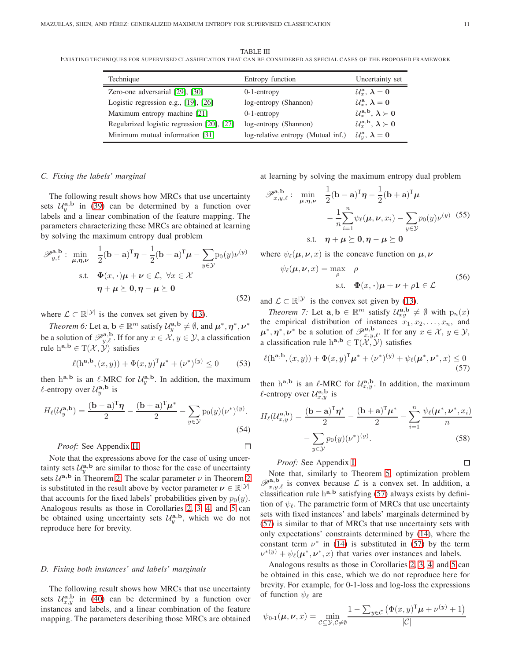<span id="page-10-1"></span>TABLE III EXISTING TECHNIQUES FOR SUPERVISED CLASS IFICATION THAT CAN BE CONS IDERED AS SPECIAL CASES OF THE PROPOSED FRAMEWORK

| Technique                                  | Entropy function                   | Uncertainty set                                                    |
|--------------------------------------------|------------------------------------|--------------------------------------------------------------------|
| Zero-one adversarial [29], [30]            | $0-1$ -entropy                     | $\mathcal{U}_x^{\mathbf{a}}, \lambda = 0$                          |
| Logistic regression e.g., $[19]$ , $[26]$  | log-entropy (Shannon)              | $\mathcal{U}_x^{\mathbf{a}}, \lambda = 0$                          |
| Maximum entropy machine [21]               | $0-1$ -entropy                     | $\mathcal{U}_x^{\mathbf{a},\mathbf{b}}, \lambda \succ 0$           |
| Regularized logistic regression [20], [27] | log-entropy (Shannon)              | $\mathcal{U}_x^{\mathbf{a},\mathbf{b}}, \lambda \succ 0$           |
| Minimum mutual information [31]            | log-relative entropy (Mutual inf.) | $\mathcal{U}_y^{\mathbf{a}}, \, \boldsymbol{\lambda} = \mathbf{0}$ |

### *C. Fixing the labels' marginal*

The following result shows how MRCs that use uncertainty sets  $U_y^{\mathbf{a},\mathbf{b}}$  in [\(39\)](#page-8-1) can be determined by a function over labels and a linear combination of the feature mapping. The parameters characterizing these MRCs are obtained at learning by solving the maximum entropy dual problem

$$
\mathscr{P}_{y,\ell}^{\mathbf{a},\mathbf{b}}: \min_{\mu,\eta,\nu} \quad \frac{1}{2}(\mathbf{b}-\mathbf{a})^{\mathrm{T}}\eta - \frac{1}{2}(\mathbf{b}+\mathbf{a})^{\mathrm{T}}\mu - \sum_{y \in \mathcal{Y}} p_0(y)\nu^{(y)}
$$
  
s.t.  $\mathbf{\Phi}(x,\cdot)\mu + \nu \in \mathcal{L}, \forall x \in \mathcal{X}$   
 $\eta + \mu \succeq 0, \eta - \mu \succeq 0$  (52)

<span id="page-10-3"></span>where  $\mathcal{L} \subset \mathbb{R}^{|\mathcal{Y}|}$  is the convex set given by [\(13\)](#page-5-9).

*Theorem 6:* Let  $\mathbf{a}, \mathbf{b} \in \mathbb{R}^m$  satisfy  $\mathcal{U}_y^{\mathbf{a}, \mathbf{b}} \neq \emptyset$ , and  $\boldsymbol{\mu}^*, \boldsymbol{\eta}^*, \boldsymbol{\nu}^*$ be a solution of  $\mathscr{P}_{y,\ell}^{\mathbf{a},\mathbf{b}}$ . If for any  $x \in \mathcal{X}, y \in \mathcal{Y}$ , a classification rule  $h^{a,b} \in T(\mathcal{X}, \mathcal{Y})$  satisfies

$$
\ell(h^{a,b}, (x, y)) + \Phi(x, y)^{T} \mu^* + (\nu^*)^{(y)} \le 0 \qquad (53)
$$

then h<sup>a,b</sup> is an  $\ell$ -MRC for  $\mathcal{U}_y^{\mathbf{a},\mathbf{b}}$ . In addition, the maximum  $\ell$ -entropy over  $\mathcal{U}_y^{\mathbf{a},\mathbf{b}}$  is

$$
H_{\ell}(\mathcal{U}_y^{\mathbf{a},\mathbf{b}}) = \frac{(\mathbf{b}-\mathbf{a})^{\mathrm{T}}\boldsymbol{\eta}}{2} - \frac{(\mathbf{b}+\mathbf{a})^{\mathrm{T}}\boldsymbol{\mu}^*}{2} - \sum_{y\in\mathcal{Y}} p_0(y) (\nu^*)^{(y)}.
$$
\n(54)

*Proof:* See Appendix [H.](#page-18-2)

Note that the expressions above for the case of using uncertainty sets  $\mathcal{U}_y^{\mathbf{a},\mathbf{b}}$  are similar to those for the case of uncertainty sets  $\mathcal{U}^{\mathbf{a},\mathbf{b}}$  in Theorem [2.](#page-5-7) The scalar parameter  $\nu$  in Theorem [2](#page-5-7). is substituted in the result above by vector parameter  $\nu \in \mathbb{R}^{|\mathcal{Y}|}$ that accounts for the fixed labels' probabilities given by  $p_0(y)$ . Analogous results as those in Corollaries [2,](#page-5-3) [3,](#page-6-5) [4,](#page-6-9) and [5](#page-7-10) can be obtained using uncertainty sets  $\mathcal{U}_y^{\mathbf{a},\mathbf{b}}$ , which we do not reproduce here for brevity.

#### *D. Fixing both instances' and labels' marginals*

The following result shows how MRCs that use uncertainty sets  $U_{x,y}^{\mathbf{a},\mathbf{b}}$  in [\(40\)](#page-8-2) can be determined by a function over instances and labels, and a linear combination of the feature mapping. The parameters describing those MRCs are obtained at learning by solving the maximum entropy dual problem

$$
\mathscr{P}_{x,y,\ell}^{\mathbf{a},\mathbf{b}}: \quad \min_{\mu,\eta,\nu} \quad \frac{1}{2}(\mathbf{b}-\mathbf{a})^{\mathrm{T}}\eta - \frac{1}{2}(\mathbf{b}+\mathbf{a})^{\mathrm{T}}\mu
$$

$$
-\frac{1}{n}\sum_{i=1}^{n}\psi_{\ell}(\mu,\nu,x_i) - \sum_{y\in\mathcal{Y}}p_0(y)\nu^{(y)} \quad (55)
$$
s.t.  $\eta + \mu \ge 0, \eta - \mu \ge 0$ 

where  $\psi_{\ell}(\mu, \nu, x)$  is the concave function on  $\mu, \nu$ 

<span id="page-10-5"></span><span id="page-10-4"></span>
$$
\psi_{\ell}(\boldsymbol{\mu}, \boldsymbol{\nu}, x) = \max_{\rho} \quad \rho
$$
  
s.t.  $\Phi(x, \cdot) \boldsymbol{\mu} + \boldsymbol{\nu} + \rho \mathbf{1} \in \mathcal{L}$  (56)

<span id="page-10-2"></span>and  $\mathcal{L} \subset \mathbb{R}^{|\mathcal{Y}|}$  is the convex set given by [\(13\)](#page-5-9).

*Theorem 7:* Let  $\mathbf{a}, \mathbf{b} \in \mathbb{R}^m$  satisfy  $\mathcal{U}_{xy}^{\mathbf{a},\mathbf{b}} \neq \emptyset$  with  $p_n(x)$ the empirical distribution of instances  $x_1, x_2, \ldots, x_n$ , and  $\mu^*, \eta^*, \nu^*$  be a solution of  $\mathscr{P}_{x,y,\ell}^{\mathbf{a},\mathbf{b}}$ . If for any  $x \in \mathcal{X}, y \in \mathcal{Y},$ a classification rule  $h^{a,b} \in T(\mathcal{X}, \mathcal{Y})$  satisfies

$$
\ell(h^{\mathbf{a},\mathbf{b}},(x,y)) + \Phi(x,y)^{\mathrm{T}} \boldsymbol{\mu}^* + (\nu^*)^{(y)} + \psi_{\ell}(\boldsymbol{\mu}^*,\boldsymbol{\nu}^*,x) \le 0
$$
\n(57)

then h<sup>a,b</sup> is an  $\ell$ -MRC for  $\mathcal{U}_{x,y}^{a,b}$ . In addition, the maximum  $\ell$ -entropy over  $\mathcal{U}_{x,y}^{\mathbf{a},\mathbf{b}}$  is

$$
H_{\ell}(\mathcal{U}_{x,y}^{\mathbf{a},\mathbf{b}}) = \frac{(\mathbf{b}-\mathbf{a})^{\mathrm{T}}\boldsymbol{\eta}^*}{2} - \frac{(\mathbf{b}+\mathbf{a})^{\mathrm{T}}\boldsymbol{\mu}^*}{2} - \sum_{i=1}^n \frac{\psi_{\ell}(\boldsymbol{\mu}^*,\boldsymbol{\nu}^*,x_i)}{n} - \sum_{y\in\mathcal{Y}} p_0(y)(\boldsymbol{\nu}^*)^{(y)}.
$$
\n(58)

## *Proof:* See Appendix [I.](#page-18-3)

 $\Box$ 

Note that, similarly to Theorem [5,](#page-9-3) optimization problem  $\mathscr{P}_{x,y,\ell}^{\mathbf{a},\mathbf{b}}$  is convex because  $\mathcal L$  is a convex set. In addition, a classification rule  $h^{a,b}$  satisfying [\(57\)](#page-10-0) always exists by definition of  $\psi_{\ell}$ . The parametric form of MRCs that use uncertainty sets with fixed instances' and labels' marginals determined by [\(57\)](#page-10-0) is similar to that of MRCs that use uncertainty sets with only expectations' constraints determined by [\(14\)](#page-5-2), where the constant term  $\nu^*$  in [\(14\)](#page-5-2) is substituted in [\(57\)](#page-10-0) by the term  $\nu^{*(y)} + \psi_{\ell}(\mu^*, \nu^*, x)$  that varies over instances and labels.

Analogous results as those in Corollaries [2,](#page-5-3) [3,](#page-6-5) [4,](#page-6-9) and [5](#page-7-10) can be obtained in this case, which we do not reproduce here for brevity. For example, for 0-1-loss and log-loss the expressions of function  $\psi_{\ell}$  are

$$
\psi_{0\text{-}1}(\boldsymbol{\mu},\boldsymbol{\nu},x) = \min_{\mathcal{C}\subseteq\mathcal{Y},\mathcal{C}\neq\emptyset} \frac{1-\sum_{y\in\mathcal{C}} \left(\Phi(x,y)^{\mathrm{T}}\boldsymbol{\mu}+\nu^{(y)}+1\right)}{|\mathcal{C}|}
$$

<span id="page-10-0"></span> $\Box$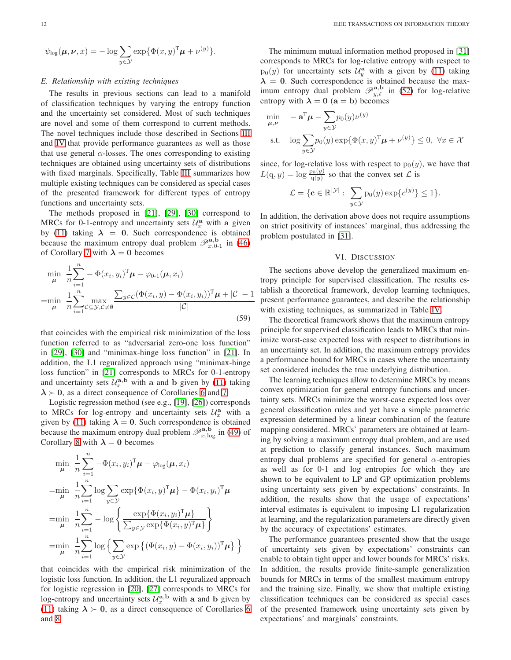$$
\psi_{\log}(\boldsymbol{\mu}, \boldsymbol{\nu}, x) = -\log \sum_{y \in \mathcal{Y}} \exp{\{\Phi(x, y)^{\mathrm{T}} \boldsymbol{\mu} + \nu^{(y)}\}}.
$$

# <span id="page-11-0"></span>*E. Relationship with existing techniques*

The results in previous sections can lead to a manifold of classification techniques by varying the entropy function and the uncertainty set considered. Most of such techniques are novel and some of them correspond to current methods. The novel techniques include those described in Sections [III](#page-4-1) and [IV](#page-6-10) that provide performance guarantees as well as those that use general  $\alpha$ -losses. The ones corresponding to existing techniques are obtained using uncertainty sets of distributions with fixed marginals. Specifically, Table [III](#page-10-1) summarizes how multiple existing techniques can be considered as special cases of the presented framework for different types of entropy functions and uncertainty sets.

The methods proposed in [\[21\]](#page-19-15), [\[29\]](#page-19-23), [\[30\]](#page-19-29) correspond to MRCs for 0-1-entropy and uncertainty sets  $\mathcal{U}_x^{\mathbf{a}}$  with a given by [\(11\)](#page-5-1) taking  $\lambda = 0$ . Such correspondence is obtained because the maximum entropy dual problem  $\mathscr{P}_{x,0-1}^{\mathbf{a},\mathbf{b}}$  in [\(46\)](#page-9-4) of Corollary [7](#page-9-1) with  $\lambda = 0$  becomes

$$
\min_{\mu} \frac{1}{n} \sum_{i=1}^{n} - \Phi(x_i, y_i)^{\mathrm{T}} \mu - \varphi_{0-1}(\mu, x_i)
$$
\n
$$
= \min_{\mu} \frac{1}{n} \sum_{i=1}^{n} \max_{\mathcal{C} \subseteq \mathcal{Y}, \mathcal{C} \neq \emptyset} \frac{\sum_{y \in \mathcal{C}} (\Phi(x_i, y) - \Phi(x_i, y_i))^{\mathrm{T}} \mu + |\mathcal{C}| - 1}{|\mathcal{C}|}
$$
\n(59)

that coincides with the empirical risk minimization of the loss function referred to as "adversarial zero-one loss function" in [\[29\]](#page-19-23), [\[30\]](#page-19-29) and "minimax-hinge loss function" in [\[21\]](#page-19-15). In addition, the L1 reguralized approach using "minimax-hinge loss function" in [\[21\]](#page-19-15) corresponds to MRCs for 0-1-entropy and uncertainty sets  $\mathcal{U}_x^{\mathbf{a},\mathbf{b}}$  with a and b given by [\(11\)](#page-5-1) taking  $\lambda \succ 0$ , as a direct consequence of Corollaries [6](#page-9-5) and [7.](#page-9-1)

Logistic regression method (see e.g., [\[19\]](#page-19-13), [\[26\]](#page-19-20)) corresponds to MRCs for log-entropy and uncertainty sets  $\mathcal{U}_x^{\mathbf{a}}$  with a given by [\(11\)](#page-5-1) taking  $\lambda = 0$ . Such correspondence is obtained because the maximum entropy dual problem  $\mathscr{P}_{x,\log}^{\mathbf{a},\mathbf{b}}$  in [\(49\)](#page-9-6) of Corollary [8](#page-9-2) with  $\lambda = 0$  becomes

$$
\min_{\mu} \frac{1}{n} \sum_{i=1}^{n} -\Phi(x_i, y_i)^{\mathrm{T}} \mu - \varphi_{\log}(\mu, x_i)
$$
\n
$$
= \min_{\mu} \frac{1}{n} \sum_{i=1}^{n} \log \sum_{y \in \mathcal{Y}} \exp{\{\Phi(x_i, y)^{\mathrm{T}} \mu\}} - \Phi(x_i, y_i)^{\mathrm{T}} \mu
$$
\n
$$
= \min_{\mu} \frac{1}{n} \sum_{i=1}^{n} -\log \left\{\frac{\exp{\{\Phi(x_i, y_i)^{\mathrm{T}} \mu\}}}{\sum_{y \in \mathcal{Y}} \exp{\{\Phi(x_i, y)^{\mathrm{T}} \mu\}}}\right\}
$$
\n
$$
= \min_{\mu} \frac{1}{n} \sum_{i=1}^{n} \log \left\{\sum_{y \in \mathcal{Y}} \exp{\{(\Phi(x_i, y) - \Phi(x_i, y_i))^{\mathrm{T}} \mu\}}\right\}
$$

that coincides with the empirical risk minimization of the logistic loss function. In addition, the L1 reguralized approach for logistic regression in [\[20\]](#page-19-14), [\[27\]](#page-19-21) corresponds to MRCs for log-entropy and uncertainty sets  $\mathcal{U}_x^{\mathbf{a},\mathbf{b}}$  with a and b given by [\(11\)](#page-5-1) taking  $\lambda \succ 0$ , as a direct consequence of Corollaries [6](#page-9-5) and [8.](#page-9-2)

The minimum mutual information method proposed in [\[31\]](#page-19-24) corresponds to MRCs for log-relative entropy with respect to  $p_0(y)$  for uncertainty sets  $\mathcal{U}_y^{\mathbf{a}}$  with a given by [\(11\)](#page-5-1) taking  $\lambda = 0$ . Such correspondence is obtained because the maximum entropy dual problem  $\mathscr{P}_{y,\ell}^{a,b}$  in [\(52\)](#page-10-2) for log-relative entropy with  $\lambda = 0$  (a = b) becomes

$$
\min_{\mu,\nu} \quad -\mathbf{a}^{\mathrm{T}}\boldsymbol{\mu} - \sum_{y \in \mathcal{Y}} p_0(y)\nu^{(y)}
$$
\n
$$
\text{s.t.} \quad \log \sum_{y \in \mathcal{Y}} p_0(y) \exp{\{\Phi(x, y)^\mathrm{T}\boldsymbol{\mu} + \nu^{(y)}\}} \le 0, \ \forall x \in \mathcal{X}
$$

since, for log-relative loss with respect to  $p_0(y)$ , we have that  $L(\mathbf{q}, y) = \log \frac{p_0(y)}{q(y)}$  so that the convex set  $\mathcal{L}$  is

$$
\mathcal{L} = \{ \mathbf{c} \in \mathbb{R}^{|\mathcal{Y}|} : \sum_{y \in \mathcal{Y}} p_0(y) \exp\{c^{(y)}\} \le 1 \}.
$$

In addition, the derivation above does not require assumptions on strict positivity of instances' marginal, thus addressing the problem postulated in [\[31\]](#page-19-24).

## VI. DISCUSSION

The sections above develop the generalized maximum entropy principle for supervised classification. The results establish a theoretical framework, develop learning techniques, present performance guarantees, and describe the relationship with existing techniques, as summarized in Table [IV.](#page-12-1)

The theoretical framework shows that the maximum entropy principle for supervised classification leads to MRCs that minimize worst-case expected loss with respect to distributions in an uncertainty set. In addition, the maximum entropy provides a performance bound for MRCs in cases where the uncertainty set considered includes the true underlying distribution.

The learning techniques allow to determine MRCs by means convex optimization for general entropy functions and uncertainty sets. MRCs minimize the worst-case expected loss over general classification rules and yet have a simple parametric expression determined by a linear combination of the feature mapping considered. MRCs' parameters are obtained at learning by solving a maximum entropy dual problem, and are used at prediction to classify general instances. Such maximum entropy dual problems are specified for general  $\alpha$ -entropies as well as for 0-1 and log entropies for which they are shown to be equivalent to LP and GP optimization problems using uncertainty sets given by expectations' constraints. In addition, the results show that the usage of expectations' interval estimates is equivalent to imposing L1 regularization at learning, and the regularization parameters are directly given by the accuracy of expectations' estimates.

The performance guarantees presented show that the usage of uncertainty sets given by expectations' constraints can enable to obtain tight upper and lower bounds for MRCs' risks. In addition, the results provide finite-sample generalization bounds for MRCs in terms of the smallest maximum entropy and the training size. Finally, we show that multiple existing classification techniques can be considered as special cases of the presented framework using uncertainty sets given by expectations' and marginals' constraints.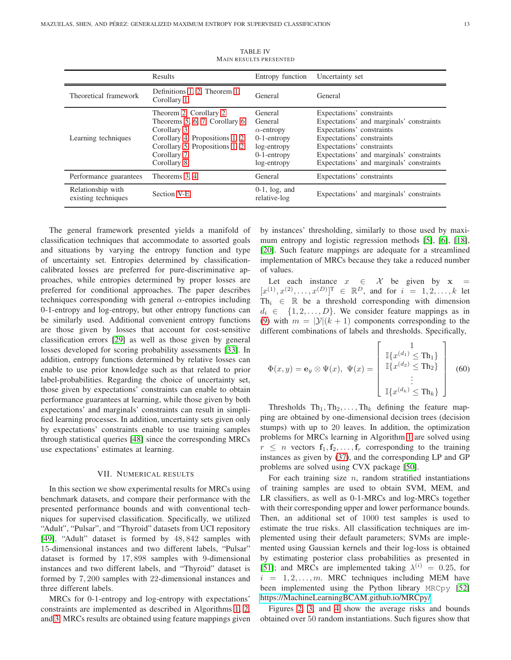<span id="page-12-1"></span>

|                                          | <b>Results</b>                                                                                                                                                           | Entropy function                                                                                          | Uncertainty set                                                                                                                                                                                                                                      |
|------------------------------------------|--------------------------------------------------------------------------------------------------------------------------------------------------------------------------|-----------------------------------------------------------------------------------------------------------|------------------------------------------------------------------------------------------------------------------------------------------------------------------------------------------------------------------------------------------------------|
| Theoretical framework                    | Definitions 1, 2, Theorem 1,<br>Corollary 1                                                                                                                              | General                                                                                                   | General                                                                                                                                                                                                                                              |
| Learning techniques                      | Theorem 2, Corollary 2<br>Theorems 5, 6, 7, Corollary 6<br>Corollary 3<br>Corollary 4, Propositions 1, 2<br>Corollary 5, Propositions 1, 2<br>Corollary 7<br>Corollary 8 | General<br>General<br>$\alpha$ -entropy<br>$0-1$ -entropy<br>log-entropy<br>$0-1$ -entropy<br>log-entropy | Expectations' constraints<br>Expectations' and marginals' constraints<br>Expectations' constraints<br>Expectations' constraints<br>Expectations' constraints<br>Expectations' and marginals' constraints<br>Expectations' and marginals' constraints |
| Performance guarantees                   | Theorems 3, 4                                                                                                                                                            | General                                                                                                   | Expectations' constraints                                                                                                                                                                                                                            |
| Relationship with<br>existing techniques | Section V-E                                                                                                                                                              | $0-1$ , $log$ , and<br>relative-log                                                                       | Expectations' and marginals' constraints                                                                                                                                                                                                             |

TABLE IV MAIN RESULTS PRESENTED

The general framework presented yields a manifold of classification techniques that accommodate to assorted goals and situations by varying the entropy function and type of uncertainty set. Entropies determined by classificationcalibrated losses are preferred for pure-discriminative approaches, while entropies determined by proper losses are preferred for conditional approaches. The paper describes techniques corresponding with general  $\alpha$ -entropies including 0-1-entropy and log-entropy, but other entropy functions can be similarly used. Additional convenient entropy functions are those given by losses that account for cost-sensitive classification errors [\[29\]](#page-19-23) as well as those given by general losses developed for scoring probability assessments [\[33\]](#page-19-26). In addition, entropy functions determined by relative losses can enable to use prior knowledge such as that related to prior label-probabilities. Regarding the choice of uncertainty set, those given by expectations' constraints can enable to obtain performance guarantees at learning, while those given by both expectations' and marginals' constraints can result in simplified learning processes. In addition, uncertainty sets given only by expectations' constraints enable to use training samples through statistical queries [\[48\]](#page-20-5) since the corresponding MRCs use expectations' estimates at learning.

#### VII. NUMERICAL RESULTS

<span id="page-12-0"></span>In this section we show experimental results for MRCs using benchmark datasets, and compare their performance with the presented performance bounds and with conventional techniques for supervised classification. Specifically, we utilized "Adult", "Pulsar", and "Thyroid" datasets from UCI repository [\[49\]](#page-20-6). "Adult" dataset is formed by 48, 842 samples with 15-dimensional instances and two different labels, "Pulsar" dataset is formed by 17, 898 samples with 9-dimensional instances and two different labels, and "Thyroid" dataset is formed by 7, 200 samples with 22-dimensional instances and three different labels.

MRCs for 0-1-entropy and log-entropy with expectations' constraints are implemented as described in Algorithms [1,](#page-8-3) [2,](#page-8-4) and [3.](#page-8-5) MRCs results are obtained using feature mappings given by instances' thresholding, similarly to those used by maximum entropy and logistic regression methods [\[5\]](#page-19-3), [\[6\]](#page-19-36), [\[18\]](#page-19-12), [\[20\]](#page-19-14). Such feature mappings are adequate for a streamlined implementation of MRCs because they take a reduced number of values.

Let each instance  $x \in \mathcal{X}$  be given by  $x =$  $[x^{(1)}, x^{(2)}, \dots, x^{(D)}]^{\text{T}} \in \mathbb{R}^D$ , and for  $i = 1, 2, \dots, k$  let Th<sub>i</sub>  $\in \mathbb{R}$  be a threshold corresponding with dimension  $d_i \in \{1, 2, \ldots, D\}$ . We consider feature mappings as in [\(9\)](#page-4-5) with  $m = |\mathcal{Y}|(k+1)$  components corresponding to the different combinations of labels and thresholds. Specifically,

$$
\Phi(x,y) = \mathbf{e}_y \otimes \Psi(x), \ \Psi(x) = \begin{bmatrix} 1 \\ \mathbb{I}\{x^{(d_1)} \leq \text{Th}_1\} \\ \mathbb{I}\{x^{(d_2)} \leq \text{Th}_2\} \\ \vdots \\ \mathbb{I}\{x^{(d_k)} \leq \text{Th}_k\} \end{bmatrix}
$$
(60)

Thresholds  $Th_1, Th_2, \ldots, Th_k$  defining the feature mapping are obtained by one-dimensional decision trees (decision stumps) with up to 20 leaves. In addition, the optimization problems for MRCs learning in Algorithm [1](#page-8-3) are solved using  $r \leq n$  vectors  $f_1, f_2, \ldots, f_r$  corresponding to the training instances as given by [\(37\)](#page-8-6), and the corresponding LP and GP problems are solved using CVX package [\[50\]](#page-20-7).

For each training size  $n$ , random stratified instantiations of training samples are used to obtain SVM, MEM, and LR classifiers, as well as 0-1-MRCs and log-MRCs together with their corresponding upper and lower performance bounds. Then, an additional set of 1000 test samples is used to estimate the true risks. All classification techniques are implemented using their default parameters; SVMs are implemented using Gaussian kernels and their log-loss is obtained by estimating posterior class probabilities as presented in [\[51\]](#page-20-8); and MRCs are implemented taking  $\lambda^{(i)} = 0.25$ , for  $i = 1, 2, \ldots, m$ . MRC techniques including MEM have been implemented using the Python library MRCpy [\[52\]](#page-20-9) [https://MachineLearningBCAM.github.io/MRCpy/.](https://MachineLearningBCAM.github.io/MRCpy/)

Figures [2,](#page-13-0) [3,](#page-13-1) and [4](#page-14-1) show the average risks and bounds obtained over 50 random instantiations. Such figures show that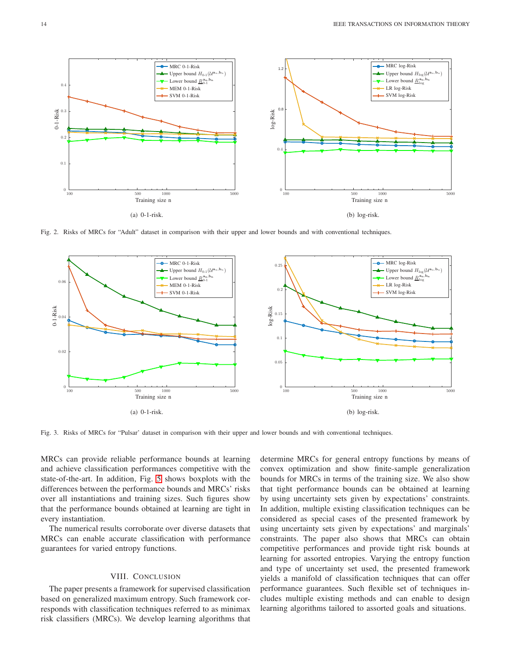

<span id="page-13-0"></span>Fig. 2. Risks of MRCs for "Adult" dataset in comparison with their upper and lower bounds and with conventional techniques.



<span id="page-13-1"></span>Fig. 3. Risks of MRCs for "Pulsar' dataset in comparison with their upper and lower bounds and with conventional techniques.

MRCs can provide reliable performance bounds at learning and achieve classification performances competitive with the state-of-the-art. In addition, Fig. [5](#page-14-2) shows boxplots with the differences between the performance bounds and MRCs' risks over all instantiations and training sizes. Such figures show that the performance bounds obtained at learning are tight in every instantiation.

The numerical results corroborate over diverse datasets that MRCs can enable accurate classification with performance guarantees for varied entropy functions.

# VIII. CONCLUSION

The paper presents a framework for supervised classification based on generalized maximum entropy. Such framework corresponds with classification techniques referred to as minimax risk classifiers (MRCs). We develop learning algorithms that determine MRCs for general entropy functions by means of convex optimization and show finite-sample generalization bounds for MRCs in terms of the training size. We also show that tight performance bounds can be obtained at learning by using uncertainty sets given by expectations' constraints. In addition, multiple existing classification techniques can be considered as special cases of the presented framework by using uncertainty sets given by expectations' and marginals' constraints. The paper also shows that MRCs can obtain competitive performances and provide tight risk bounds at learning for assorted entropies. Varying the entropy function and type of uncertainty set used, the presented framework yields a manifold of classification techniques that can offer performance guarantees. Such flexible set of techniques includes multiple existing methods and can enable to design learning algorithms tailored to assorted goals and situations.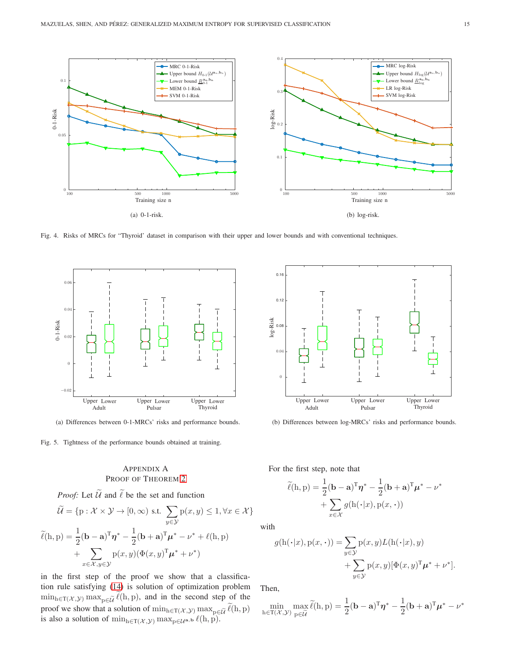

<span id="page-14-1"></span>Fig. 4. Risks of MRCs for "Thyroid' dataset in comparison with their upper and lower bounds and with conventional techniques.



(a) Differences between 0-1-MRCs' risks and performance bounds.

<span id="page-14-2"></span>Fig. 5. Tightness of the performance bounds obtained at training.

# <span id="page-14-0"></span>APPENDIX A PROOF OF THEOREM [2](#page-5-7)

*Proof:* Let 
$$
\widetilde{\mathcal{U}}
$$
 and  $\widetilde{\ell}$  be the set and function  
\n
$$
\widetilde{\mathcal{U}} = \{p : \mathcal{X} \times \mathcal{Y} \to [0, \infty) \text{ s.t. } \sum_{y \in \mathcal{Y}} p(x, y) \le 1, \forall x \in \mathcal{X} \}
$$
\n
$$
\widetilde{\ell}(h, p) = \frac{1}{2} (\mathbf{b} - \mathbf{a})^{\mathrm{T}} \boldsymbol{\eta}^* - \frac{1}{2} (\mathbf{b} + \mathbf{a})^{\mathrm{T}} \boldsymbol{\mu}^* - \boldsymbol{\nu}^* + \ell(h, p)
$$
\n
$$
+ \sum_{x \in \mathcal{X}, y \in \mathcal{Y}} p(x, y) (\Phi(x, y)^{\mathrm{T}} \boldsymbol{\mu}^* + \boldsymbol{\nu}^*)
$$

in the first step of the proof we show that a classification rule satisfying [\(14\)](#page-5-2) is solution of optimization problem  $\min_{h \in T(\mathcal{X}, \mathcal{Y})} \max_{p \in \widetilde{\mathcal{U}}} \widetilde{\ell}(h, p)$ , and in the second step of the proof we show that a solution of  $\min_{h \in T(\mathcal{X}, \mathcal{Y})} \max_{p \in \widetilde{\mathcal{U}}} \ell(h, p)$ is also a solution of  $\min_{h \in T(\mathcal{X}, \mathcal{Y})} \max_{p \in \mathcal{U}^{\mathbf{a}, \mathbf{b}}} \ell(h, p)$ .



(b) Differences between log-MRCs' risks and performance bounds.

For the first step, note that

$$
\widetilde{\ell}(\mathbf{h}, \mathbf{p}) = \frac{1}{2} (\mathbf{b} - \mathbf{a})^{\mathrm{T}} \boldsymbol{\eta}^* - \frac{1}{2} (\mathbf{b} + \mathbf{a})^{\mathrm{T}} \boldsymbol{\mu}^* - \boldsymbol{\nu}^* + \sum_{x \in \mathcal{X}} g(\mathbf{h}(\cdot | x), \mathbf{p}(x, \cdot))
$$

with

$$
g(\mathbf{h}(\cdot|x), \mathbf{p}(x, \cdot)) = \sum_{y \in \mathcal{Y}} \mathbf{p}(x, y) L(\mathbf{h}(\cdot|x), y) + \sum_{y \in \mathcal{Y}} \mathbf{p}(x, y) [\Phi(x, y)^{\mathrm{T}} \boldsymbol{\mu}^* + \boldsymbol{\nu}^*].
$$

Then,

$$
\min_{h \in T(\mathcal{X}, \mathcal{Y})} \max_{p \in \widetilde{\mathcal{U}}} \widetilde{\ell}(h, p) = \frac{1}{2} (\mathbf{b} - \mathbf{a})^T \boldsymbol{\eta}^* - \frac{1}{2} (\mathbf{b} + \mathbf{a})^T \boldsymbol{\mu}^* - \boldsymbol{\nu}^*
$$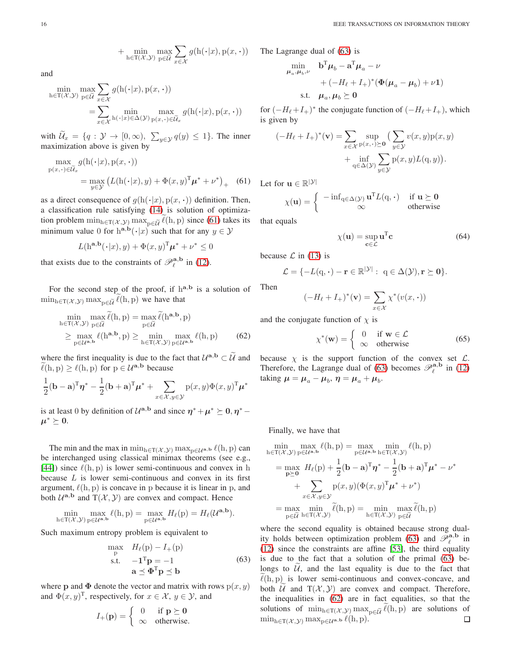+ 
$$
\min_{\mathbf{h}\in\mathcal{T}(\mathcal{X},\mathcal{Y})}\max_{\mathbf{p}\in\widetilde{\mathcal{U}}}\sum_{x\in\mathcal{X}}g(\mathbf{h}(\cdot|x),\mathbf{p}(x,\cdot))
$$

and

$$
\min_{h \in T(\mathcal{X}, \mathcal{Y})} \max_{p \in \widetilde{\mathcal{U}}} \sum_{x \in \mathcal{X}} g(h(\cdot | x), p(x, \cdot))
$$
\n
$$
= \sum_{x \in \mathcal{X}} \min_{h(\cdot | x) \in \Delta(\mathcal{Y})} \max_{p(x, \cdot) \in \widetilde{\mathcal{U}}_x} g(h(\cdot | x), p(x, \cdot))
$$

with  $\widetilde{\mathcal{U}}_x = \{q : \mathcal{Y} \to [0, \infty), \sum_{y \in \mathcal{Y}} q(y) \leq 1\}.$  The inner maximization above is given by

$$
\max_{p(x,\cdot)\in\widetilde{\mathcal{U}}_x} g(h(\cdot|x), p(x,\cdot))
$$
\n
$$
= \max_{y\in\mathcal{Y}} \left( L(h(\cdot|x), y) + \Phi(x, y)^{\mathrm{T}} \boldsymbol{\mu}^* + \nu^* \right)_+ \quad (61)
$$

as a direct consequence of  $g(h(\cdot|x), p(x, \cdot))$  definition. Then, a classification rule satisfying [\(14\)](#page-5-2) is solution of optimization problem  $\min_{h \in T(\mathcal{X}, \mathcal{Y})} \max_{p \in \widetilde{\mathcal{U}}} \widetilde{\ell}(h, p)$  since [\(61\)](#page-15-0) takes its minimum value 0 for  $h^{a,b}(\cdot|x)$  such that for any  $y \in \mathcal{Y}$ 

$$
L(\mathbf{h}^{\mathbf{a},\mathbf{b}}(\cdot|x),y) + \Phi(x,y)^{\mathrm{T}} \boldsymbol{\mu}^* + \nu^* \le 0
$$

that exists due to the constraints of  $\mathcal{P}_{\ell}^{\mathbf{a},\mathbf{b}}$  in [\(12\)](#page-5-6).

For the second step of the proof, if  $h^{a,b}$  is a solution of  $\min_{h \in T(\mathcal{X}, \mathcal{Y})} \max_{h \in \widetilde{\mathcal{U}}} \ell(h, p)$  we have that

$$
\min_{h \in T(\mathcal{X}, \mathcal{Y})} \max_{p \in \widetilde{\mathcal{U}}} \widetilde{\ell}(h, p) = \max_{p \in \widetilde{\mathcal{U}}} \widetilde{\ell}(h^{\mathbf{a}, \mathbf{b}}, p)
$$
\n
$$
\geq \max_{p \in \mathcal{U}^{\mathbf{a}, \mathbf{b}}} \ell(h^{\mathbf{a}, \mathbf{b}}, p) \geq \min_{h \in T(\mathcal{X}, \mathcal{Y})} \max_{p \in \mathcal{U}^{\mathbf{a}, \mathbf{b}}} \ell(h, p) \qquad (62)
$$

where the first inequality is due to the fact that  $\mathcal{U}^{\mathbf{a},\mathbf{b}} \subset \widetilde{\mathcal{U}}$  and  $\tilde{\ell}(h, p) > \ell(h, p)$  for  $p \in \mathcal{U}^{a,b}$  because

$$
\frac{1}{2}(\mathbf{b}-\mathbf{a})^{\mathrm{T}}\boldsymbol{\eta}^* - \frac{1}{2}(\mathbf{b}+\mathbf{a})^{\mathrm{T}}\boldsymbol{\mu}^* + \sum_{x \in \mathcal{X}, y \in \mathcal{Y}} p(x, y) \Phi(x, y)^{\mathrm{T}}\boldsymbol{\mu}^*
$$

is at least 0 by definition of  $\mathcal{U}^{\mathbf{a},\mathbf{b}}$  and since  $\eta^* + \mu^* \succeq 0, \eta^* \mu^*\succeq 0.$ 

The min and the max in  $\min_{h \in T(\mathcal{X}, \mathcal{Y})} \max_{p \in \mathcal{U}^{a,b}} \ell(h, p)$  can be interchanged using classical minimax theorems (see e.g., [\[44\]](#page-20-1)) since  $\ell(h, p)$  is lower semi-continuous and convex in h because  $L$  is lower semi-continuous and convex in its first argument,  $\ell(h, p)$  is concave in p because it is linear in p, and both  $\mathcal{U}^{\mathbf{a},\mathbf{b}}$  and  $T(\mathcal{X}, \mathcal{Y})$  are convex and compact. Hence

$$
\min_{h \in T(\mathcal{X}, \mathcal{Y})} \max_{p \in \mathcal{U}^{\mathbf{a}, \mathbf{b}}} \ell(h, p) = \max_{p \in \mathcal{U}^{\mathbf{a}, \mathbf{b}}} H_{\ell}(p) = H_{\ell}(\mathcal{U}^{\mathbf{a}, \mathbf{b}}).
$$

Such maximum entropy problem is equivalent to

$$
\max_{\mathbf{p}} \quad H_{\ell}(\mathbf{p}) - I_{+}(\mathbf{p})
$$
\n
$$
\text{s.t.} \quad -\mathbf{1}^{\mathrm{T}} \mathbf{p} = -1 \tag{63}
$$
\n
$$
\mathbf{a} \preceq \mathbf{\Phi}^{\mathrm{T}} \mathbf{p} \preceq \mathbf{b}
$$

where **p** and  $\Phi$  denote the vector and matrix with rows  $p(x, y)$ and  $\Phi(x, y)^{\text{T}}$ , respectively, for  $x \in \mathcal{X}$ ,  $y \in \mathcal{Y}$ , and

$$
I_{+}(\mathbf{p}) = \begin{cases} 0 & \text{if } \mathbf{p} \succeq \mathbf{0} \\ \infty & \text{otherwise.} \end{cases}
$$

The Lagrange dual of [\(63\)](#page-15-1) is

$$
\begin{aligned}\n\min_{\mu_a, \mu_b, \nu} \quad & \mathbf{b}^{\mathrm{T}} \mu_b - \mathbf{a}^{\mathrm{T}} \mu_a - \nu \\
& + \left( -H_\ell + I_+ \right)^* \left( \Phi(\mu_a - \mu_b) + \nu \mathbf{1} \right) \\
\text{s.t.} \quad & \mu_a, \mu_b \succeq \mathbf{0}\n\end{aligned}
$$

for  $(-H_{\ell}+I_{+})^*$  the conjugate function of  $(-H_{\ell}+I_{+})$ , which is given by

$$
(-H_{\ell} + I_{+})^{*}(\mathbf{v}) = \sum_{x \in \mathcal{X}} \sup_{p(x, \cdot) \succeq \mathbf{0}} \left( \sum_{y \in \mathcal{Y}} v(x, y) p(x, y) + \inf_{q \in \Delta(\mathcal{Y})} \sum_{y \in \mathcal{Y}} p(x, y) L(q, y) \right).
$$

<span id="page-15-0"></span>Let for  $\mathbf{u} \in \mathbb{R}^{|\mathcal{Y}|}$ 

$$
\chi(\mathbf{u}) = \begin{cases}\n-\inf_{\mathbf{q} \in \Delta(\mathcal{Y})} \mathbf{u}^{\mathrm{T}} L(\mathbf{q}, \cdot) & \text{if } \mathbf{u} \succeq \mathbf{0} \\
\infty & \text{otherwise}\n\end{cases}
$$

that equals

Then

<span id="page-15-3"></span>
$$
\chi(\mathbf{u}) = \sup_{\mathbf{c} \in \mathcal{L}} \mathbf{u}^{\mathrm{T}} \mathbf{c} \tag{64}
$$

because  $\mathcal L$  in [\(13\)](#page-5-9) is

$$
\mathcal{L} = \{-L(\mathbf{q}, \cdot) - \mathbf{r} \in \mathbb{R}^{|\mathcal{Y}|} : \ \mathbf{q} \in \Delta(\mathcal{Y}), \mathbf{r} \succeq \mathbf{0}\}.
$$

$$
(-H_{\ell} + I_{+})^{*}(\mathbf{v}) = \sum_{x \in \mathcal{X}} \chi^{*}(v(x, \cdot))
$$

<span id="page-15-2"></span>and the conjugate function of  $\chi$  is

<span id="page-15-4"></span>
$$
\chi^*(\mathbf{w}) = \begin{cases} 0 & \text{if } \mathbf{w} \in \mathcal{L} \\ \infty & \text{otherwise} \end{cases}
$$
 (65)

because  $\chi$  is the support function of the convex set  $\mathcal{L}$ . Therefore, the Lagrange dual of [\(63\)](#page-15-1) becomes  $\mathcal{P}_{\ell}^{\mathbf{a},\mathbf{b}}$  in [\(12\)](#page-5-6) taking  $\mu = \mu_a - \mu_b$ ,  $\eta = \mu_a + \mu_b$ .

Finally, we have that

$$
\min_{h \in T(\mathcal{X}, \mathcal{Y})} \max_{p \in \mathcal{U}^{a,b}} \ell(h, p) = \max_{p \in \mathcal{U}^{a,b}} \min_{h \in T(\mathcal{X}, \mathcal{Y})} \ell(h, p)
$$
\n
$$
= \max_{p \ge 0} H_{\ell}(p) + \frac{1}{2} (\mathbf{b} - \mathbf{a})^{\mathrm{T}} \boldsymbol{\eta}^* - \frac{1}{2} (\mathbf{b} + \mathbf{a})^{\mathrm{T}} \boldsymbol{\mu}^* - \nu^*
$$
\n
$$
+ \sum_{x \in \mathcal{X}, y \in \mathcal{Y}} p(x, y) (\Phi(x, y)^{\mathrm{T}} \boldsymbol{\mu}^* + \nu^*)
$$
\n
$$
= \max_{p \in \widetilde{\mathcal{U}}} \min_{h \in T(\mathcal{X}, \mathcal{Y})} \widetilde{\ell}(h, p) = \min_{h \in T(\mathcal{X}, \mathcal{Y})} \max_{p \in \widetilde{\mathcal{U}}} \widetilde{\ell}(h, p)
$$

<span id="page-15-1"></span>where the second equality is obtained because strong dual-ity holds between optimization problem [\(63\)](#page-15-1) and  $\overline{\mathscr{P}}_{\ell}^{\mathbf{a},\mathbf{b}}$  in [\(12\)](#page-5-6) since the constraints are affine [\[53\]](#page-20-10), the third equality is due to the fact that a solution of the primal [\(63\)](#page-15-1) belongs to  $\tilde{U}$ , and the last equality is due to the fact that  $\ell(h, p)$  is lower semi-continuous and convex-concave, and both  $U$  and  $T(X, Y)$  are convex and compact. Therefore, the inequalities in [\(62\)](#page-15-2) are in fact equalities, so that the solutions of  $\min_{h \in T(\mathcal{X}, \mathcal{Y})} \max_{p \in \tilde{\mathcal{U}}} \tilde{\ell}(h, p)$  are solutions of  $\min_{h \in T(\mathcal{X}, \mathcal{Y})} \max_{p \in \mathcal{U}} \ell(h, p).$  $\min_{h \in T(\mathcal{X}, \mathcal{Y})} \max_{h \in \mathcal{U}} \mathbb{E}_{h,h} \ell(h, p).$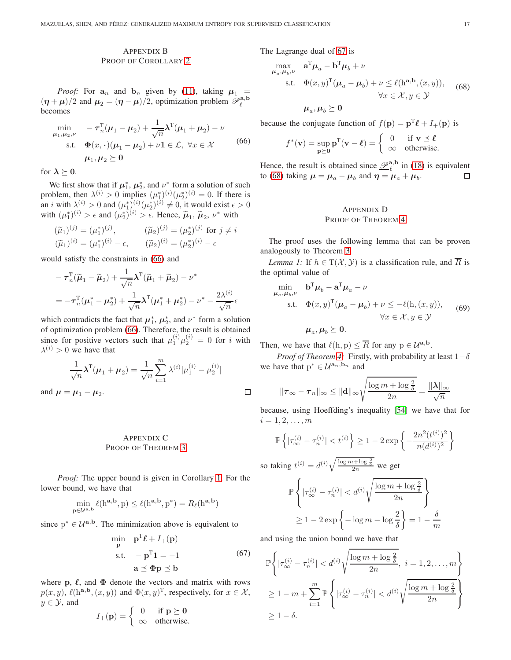# <span id="page-16-0"></span>APPENDIX B PROOF OF COROLLARY [2](#page-5-3)

*Proof:* For  $a_n$  and  $b_n$  given by [\(11\)](#page-5-1), taking  $\mu_1$  =  $(\eta + \mu)/2$  and  $\mu_2 = (\eta - \mu)/2$ , optimization problem  $\mathscr{P}_{\ell}^{\mathbf{a},\mathbf{b}}$ becomes

$$
\min_{\mu_1, \mu_2, \nu} \quad -\tau_n^{\mathrm{T}}(\mu_1 - \mu_2) + \frac{1}{\sqrt{n}} \lambda^{\mathrm{T}}(\mu_1 + \mu_2) - \nu
$$
\n
$$
\text{s.t.} \quad \Phi(x, \cdot)(\mu_1 - \mu_2) + \nu \mathbf{1} \in \mathcal{L}, \ \forall x \in \mathcal{X} \tag{66}
$$
\n
$$
\mu_1, \mu_2 \succeq 0
$$

for  $\lambda \succeq 0$ .

and  $\mu$ 

We first show that if  $\mu_1^*$ ,  $\mu_2^*$ , and  $\nu^*$  form a solution of such problem, then  $\lambda^{(i)} > 0$  implies  $(\mu_1^*)^{(i)}(\mu_2^*)^{(i)} = 0$ . If there is an *i* with  $\lambda^{(i)} > 0$  and  $(\mu_1^*)^{(i)}(\mu_2^*)^{(i)} \neq 0$ , it would exist  $\epsilon > 0$ with  $(\mu_1^*)^{(i)} > \epsilon$  and  $(\mu_2^*)^{(i)} > \epsilon$ . Hence,  $\tilde{\mu}_1$ ,  $\tilde{\mu}_2$ ,  $\nu^*$  with

$$
(\widetilde{\mu}_1)^{(j)} = (\mu_1^*)^{(j)}, \qquad (\widetilde{\mu}_2)^{(j)} = (\mu_2^*)^{(j)} \text{ for } j \neq i
$$
  

$$
(\widetilde{\mu}_1)^{(i)} = (\mu_1^*)^{(i)} - \epsilon, \qquad (\widetilde{\mu}_2)^{(i)} = (\mu_2^*)^{(i)} - \epsilon
$$

would satisfy the constraints in [\(66\)](#page-16-3) and

$$
- \tau_n^{\mathrm{T}}(\widetilde{\boldsymbol{\mu}}_1 - \widetilde{\boldsymbol{\mu}}_2) + \frac{1}{\sqrt{n}} \boldsymbol{\lambda}^{\mathrm{T}}(\widetilde{\boldsymbol{\mu}}_1 + \widetilde{\boldsymbol{\mu}}_2) - \nu^*
$$
  
= 
$$
- \tau_n^{\mathrm{T}}(\boldsymbol{\mu}_1^* - \boldsymbol{\mu}_2^*) + \frac{1}{\sqrt{n}} \boldsymbol{\lambda}^{\mathrm{T}}(\boldsymbol{\mu}_1^* + \boldsymbol{\mu}_2^*) - \nu^* - \frac{2\lambda^{(i)}}{\sqrt{n}} \epsilon
$$

which contradicts the fact that  $\mu_1^*$ ,  $\mu_2^*$ , and  $\nu^*$  form a solution of optimization problem [\(66\)](#page-16-3). Therefore, the result is obtained since for positive vectors such that  $\mu_1^{(i)}\mu_2^{(i)} = 0$  for i with  $\lambda^{(i)} > 0$  we have that

$$
\frac{1}{\sqrt{n}}\lambda^{T}(\mu_{1}+\mu_{2})=\frac{1}{\sqrt{n}}\sum_{i=1}^{m}\lambda^{(i)}|\mu_{1}^{(i)}-\mu_{2}^{(i)}|
$$
  
=  $\mu_{1}-\mu_{2}$ .

# <span id="page-16-1"></span>APPENDIX C PROOF OF THEOREM [3](#page-6-8)

*Proof:* The upper bound is given in Corollary [1.](#page-4-4) For the lower bound, we have that

$$
\min_{p\in \mathcal{U}^{\mathbf{a},\mathbf{b}}}\ell(h^{\mathbf{a},\mathbf{b}},p)\leq \ell(h^{\mathbf{a},\mathbf{b}},p^*)=R_\ell(h^{\mathbf{a},\mathbf{b}})
$$

since  $p^* \in \mathcal{U}^{a,b}$ . The minimization above is equivalent to

$$
\min_{\mathbf{p}} \quad \mathbf{p}^{\mathrm{T}} \boldsymbol{\ell} + I_{+}(\mathbf{p})
$$
\n
$$
\text{s.t.} \quad -\mathbf{p}^{\mathrm{T}} \mathbf{1} = -1 \tag{67}
$$
\n
$$
\mathbf{a} \preceq \mathbf{\Phi} \mathbf{p} \preceq \mathbf{b}
$$

where p,  $\ell$ , and  $\Phi$  denote the vectors and matrix with rows  $p(x, y)$ ,  $\ell(\mathbf{h}^{\mathbf{a}, \mathbf{b}}, (x, y))$  and  $\Phi(x, y)^{\mathrm{T}}$ , respectively, for  $x \in \mathcal{X}$ ,  $y \in \mathcal{Y}$ , and

$$
I_{+}(\mathbf{p}) = \begin{cases} 0 & \text{if } \mathbf{p} \succeq \mathbf{0} \\ \infty & \text{otherwise.} \end{cases}
$$

The Lagrange dual of [67](#page-16-4) is

$$
\max_{\mu_a, \mu_b, \nu} \quad \mathbf{a}^{\mathrm{T}} \mu_a - \mathbf{b}^{\mathrm{T}} \mu_b + \nu
$$
\n
$$
\text{s.t.} \quad \Phi(x, y)^{\mathrm{T}} (\mu_a - \mu_b) + \nu \le \ell(\mathbf{h}^{\mathbf{a}, \mathbf{b}}, (x, y)), \quad (68)
$$
\n
$$
\forall x \in \mathcal{X}, y \in \mathcal{Y}
$$
\n
$$
\mu_a, \mu_b \succeq \mathbf{0}
$$

<span id="page-16-3"></span>because the conjugate function of  $f(\mathbf{p}) = \mathbf{p}^{\mathrm{T}}\boldsymbol{\ell} + I_{+}(\mathbf{p})$  is

<span id="page-16-5"></span>
$$
f^*(\mathbf{v}) = \sup_{\mathbf{p} \succeq \mathbf{0}} \mathbf{p}^{\mathrm{T}}(\mathbf{v} - \boldsymbol{\ell}) = \begin{cases} 0 & \text{if } \mathbf{v} \preceq \boldsymbol{\ell} \\ \infty & \text{otherwise.} \end{cases}
$$

Hence, the result is obtained since  $\mathcal{P}_{\ell}^{a,b}$  in [\(18\)](#page-5-0) is equivalent to [\(68\)](#page-16-5) taking  $\mu = \mu_a - \mu_b$  and  $\eta = \mu_a + \mu_b$ .  $\Box$ 

# <span id="page-16-6"></span><span id="page-16-2"></span>APPENDIX D PROOF OF THEOREM [4](#page-6-11)

The proof uses the following lemma that can be proven analogously to Theorem [3.](#page-6-8)

*Lemma 1:* If  $h \in T(\mathcal{X}, \mathcal{Y})$  is a classification rule, and  $\overline{R}$  is the optimal value of

$$
\min_{\mu_a, \mu_b, \nu} \mathbf{b}^{\mathrm{T}} \mu_b - \mathbf{a}^{\mathrm{T}} \mu_a - \nu
$$
\n
$$
\text{s.t.} \quad \Phi(x, y)^{\mathrm{T}} (\mu_a - \mu_b) + \nu \le -\ell(\mathbf{h}, (x, y)), \quad \forall x \in \mathcal{X}, y \in \mathcal{Y}
$$
\n
$$
(69)
$$

Then, we have that  $\ell(h, p) \leq \overline{R}$  for any  $p \in \mathcal{U}^{\mathbf{a}, \mathbf{b}}$ .

 $\boldsymbol{\mu}_a, \boldsymbol{\mu}_b \succeq \mathbf{0}.$ 

 $\Box$ 

*Proof of Theorem [4:](#page-6-11)* Firstly, with probability at least  $1-\delta$ we have that  $p^* \in \mathcal{U}^{\mathbf{a}_n,\mathbf{b}_n}$  and

$$
\|\boldsymbol{\tau}_{\infty}-\boldsymbol{\tau}_{n}\|_{\infty} \leq \|\mathbf{d}\|_{\infty} \sqrt{\frac{\log m + \log \frac{2}{\delta}}{2n}} = \frac{\|\boldsymbol{\lambda}\|_{\infty}}{\sqrt{n}}
$$

because, using Hoeffding's inequality [\[54\]](#page-20-11) we have that for  $i = 1, 2, \ldots, m$ 

$$
\mathbb{P}\left\{|\tau_{\infty}^{(i)} - \tau_n^{(i)}| < t^{(i)}\right\} \ge 1 - 2\exp\left\{-\frac{2n^2(t^{(i)})^2}{n(d^{(i)})^2}\right\}
$$

so taking  $t^{(i)} = d^{(i)} \sqrt{\frac{\log m + \log \frac{2}{\delta}}{2n}}$  we get

$$
\mathbb{P}\left\{| \tau_{\infty}^{(i)} - \tau_n^{(i)} | < d^{(i)} \sqrt{\frac{\log m + \log \frac{2}{\delta}}{2n}} \right\}
$$
\n
$$
\geq 1 - 2 \exp\left\{-\log m - \log \frac{2}{\delta}\right\} = 1 - \frac{\delta}{m}
$$

<span id="page-16-4"></span>and using the union bound we have that

$$
\mathbb{P}\left\{|\tau_{\infty}^{(i)} - \tau_n^{(i)}| < d^{(i)}\sqrt{\frac{\log m + \log \frac{2}{\delta}}{2n}}, \ i = 1, 2, \dots, m\right\}
$$
\n
$$
\geq 1 - m + \sum_{i=1}^m \mathbb{P}\left\{|\tau_{\infty}^{(i)} - \tau_n^{(i)}| < d^{(i)}\sqrt{\frac{\log m + \log \frac{2}{\delta}}{2n}}\right\}
$$
\n
$$
\geq 1 - \delta.
$$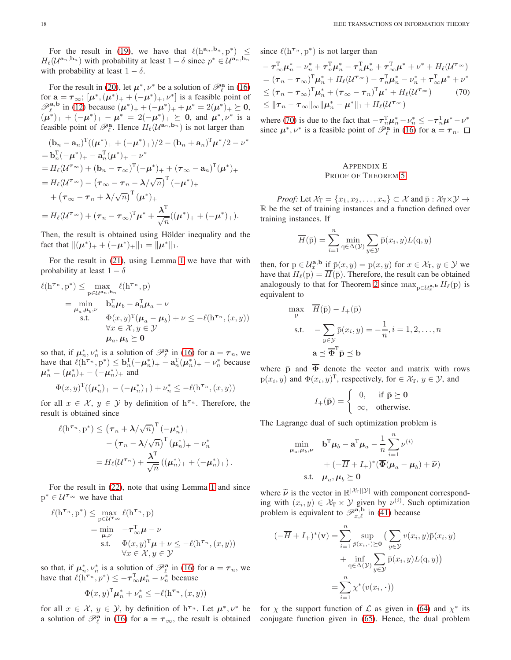For the result in [\(19\)](#page-6-2), we have that  $\ell(h^{a_n}, b_n, p^*) \leq$  $H_{\ell}(\mathcal{U}^{\mathbf{a}_n,\mathbf{b}_n})$  with probability at least  $1-\delta$  since  $p^* \in \mathcal{U}^{\mathbf{a}_n,\mathbf{b}_n}$ with probability at least  $1 - \delta$ .

For the result in [\(20\)](#page-6-0), let  $\mu^*, \nu^*$  be a solution of  $\mathcal{P}_{\ell}^{\mathbf{a}}$  in [\(16\)](#page-5-5) for  $\mathbf{a} = \boldsymbol{\tau}_{\infty}$ ;  $[\boldsymbol{\mu}^*, (\boldsymbol{\mu}^*)_+ + (-\boldsymbol{\mu}^*)_+, \nu^*]$  is a feasible point of  $\mathscr{P}_{\ell}^{\mathbf{a},\mathbf{b}}$  in [\(12\)](#page-5-6) because  $(\mu^*)_+ + (-\mu^*)_+ + \mu^* = 2(\mu^*)_+ \succeq 0$ ,  $(\mu^*)_+ + (-\mu^*)_+ - \mu^* = 2(-\mu^*)_+ \geq 0$ , and  $\mu^*, \nu^*$  is a feasible point of  $\mathcal{P}_{\ell}^{\mathbf{a}}$ . Hence  $H_{\ell}(\mathcal{U}^{\mathbf{a}_n,\mathbf{b}_n})$  is not larger than

$$
(\mathbf{b}_{n} - \mathbf{a}_{n})^{\mathrm{T}}((\boldsymbol{\mu}^{*})_{+} + (-\boldsymbol{\mu}^{*})_{+})/2 - (\mathbf{b}_{n} + \mathbf{a}_{n})^{\mathrm{T}}\boldsymbol{\mu}^{*}/2 - \nu^{*}
$$
  
=  $\mathbf{b}_{n}^{\mathrm{T}}(-\boldsymbol{\mu}^{*})_{+} - \mathbf{a}_{n}^{\mathrm{T}}(\boldsymbol{\mu}^{*})_{+} - \nu^{*}$   
=  $H_{\ell}(\mathcal{U}^{\tau_{\infty}}) + (\mathbf{b}_{n} - \tau_{\infty})^{\mathrm{T}}(-\boldsymbol{\mu}^{*})_{+} + (\tau_{\infty} - \mathbf{a}_{n})^{\mathrm{T}}(\boldsymbol{\mu}^{*})_{+}$   
=  $H_{\ell}(\mathcal{U}^{\tau_{\infty}}) - (\tau_{\infty} - \tau_{n} - \lambda/\sqrt{n})^{\mathrm{T}}(-\boldsymbol{\mu}^{*})_{+}$   
+  $(\tau_{\infty} - \tau_{n} + \lambda/\sqrt{n})^{\mathrm{T}}(\boldsymbol{\mu}^{*})_{+}$   
=  $H_{\ell}(\mathcal{U}^{\tau_{\infty}}) + (\tau_{n} - \tau_{\infty})^{\mathrm{T}}\boldsymbol{\mu}^{*} + \frac{\lambda^{\mathrm{T}}}{\sqrt{n}}((\boldsymbol{\mu}^{*})_{+} + (-\boldsymbol{\mu}^{*})_{+}).$ 

Then, the result is obtained using Hölder inequality and the fact that  $\|(\mu^*)_+ + (-\mu^*)_+\|_1 = \|\mu^*\|_1$ .

For the result in [\(21\)](#page-6-3), using Lemma [1](#page-16-6) we have that with probability at least  $1 - \delta$ 

$$
\ell(\mathbf{h}^{\tau_n}, \mathbf{p}^*) \leq \max_{\mathbf{p} \in \mathcal{U}^{\mathbf{a}_n, \mathbf{b}_n}} \ell(\mathbf{h}^{\tau_n}, \mathbf{p})
$$
\n
$$
= \min_{\substack{\mu_a, \mu_b, \nu \\ \text{s.t.}}} \mathbf{b}_n^{\mathsf{T}} \mu_b - \mathbf{a}_n^{\mathsf{T}} \mu_a - \nu
$$
\n
$$
\text{s.t.} \quad \Phi(x, y)^{\mathsf{T}} (\mu_a - \mu_b) + \nu \leq -\ell(\mathbf{h}^{\tau_n}, (x, y))
$$
\n
$$
\forall x \in \mathcal{X}, y \in \mathcal{Y}
$$
\n
$$
\mu_a, \mu_b \succeq \mathbf{0}
$$

so that, if  $\mu_n^*, \nu_n^*$  is a solution of  $\mathcal{P}_{\ell}^{\mathbf{a}}$  in [\(16\)](#page-5-5) for  $\mathbf{a} = \tau_n$ , we have that  $\ell(\mathbf{h}^{\tau_n}, \mathbf{p}^*) \leq \mathbf{b}_n^{\mathrm{T}}(-\boldsymbol{\mu}_n^*)_+ - \mathbf{a}_n^{\mathrm{T}}(\boldsymbol{\mu}_n^*)_+ - \nu_n^*$  because  $\mu_n^* = (\mu_n^*)_+ - (-\mu_n^*)_+$  and

$$
\Phi(x, y)^{\mathrm{T}}((\mu_n^*)_{+} - (-\mu_n^*)_{+}) + \nu_n^* \leq -\ell(\mathbf{h}^{\tau_n}, (x, y))
$$

for all  $x \in \mathcal{X}$ ,  $y \in \mathcal{Y}$  by definition of  $h^{\tau_n}$ . Therefore, the result is obtained since

$$
\ell(\mathbf{h}^{\tau_n}, \mathbf{p}^*) \leq (\tau_n + \lambda/\sqrt{n})^{\mathrm{T}} (-\mu_n^*)_{+}
$$
  
- (\tau\_n - \lambda/\sqrt{n})^{\mathrm{T}} (\mu\_n^\*)\_{+} - \nu\_n^\*  
=  $H_\ell(\mathcal{U}^{\tau_n}) + \frac{\lambda^{\mathrm{T}}}{\sqrt{n}} ((\mu_n^*)_{+} + (-\mu_n^*)_{+}).$ 

For the result in [\(22\)](#page-6-1), note that using Lemma [1](#page-16-6) and since  $p^* \in \mathcal{U}^{\tau_{\infty}}$  we have that

$$
\ell(h^{\tau_n}, p^*) \leq \max_{p \in \mathcal{U}^{\tau_\infty}} \ell(h^{\tau_n}, p)
$$
  
= 
$$
\min_{\mu, \nu} \quad -\tau_\infty^T \mu - \nu
$$
  
s.t. 
$$
\Phi(x, y)^T \mu + \nu \leq -\ell(h^{\tau_n}, (x, y))
$$

$$
\forall x \in \mathcal{X}, y \in \mathcal{Y}
$$

so that, if  $\mu_n^*, \nu_n^*$  is a solution of  $\mathcal{P}_{\ell}^{\mathbf{a}}$  in [\(16\)](#page-5-5) for  $\mathbf{a} = \tau_n$ , we have that  $\ell(h^{\tau_n}, p^*) \leq -\tau_{\infty}^{\mathrm{T}} \mu_n^* - \nu_n^*$  because

$$
\Phi(x, y)^{\mathrm{T}} \mu_n^* + \nu_n^* \le -\ell(\mathbf{h}^{\tau_n}, (x, y))
$$

for all  $x \in \mathcal{X}, y \in \mathcal{Y}$ , by definition of  $h^{\tau_n}$ . Let  $\mu^*, \nu^*$  be a solution of  $\mathcal{P}_{\ell}^{\mathbf{a}}$  in [\(16\)](#page-5-5) for  $\mathbf{a} = \tau_{\infty}$ , the result is obtained since  $\ell(h^{\tau_n}, p^*)$  is not larger than

$$
-\tau_{\infty}^{\mathrm{T}}\mu_{n}^{*}-\nu_{n}^{*}+\tau_{n}^{\mathrm{T}}\mu_{n}^{*}-\tau_{n}^{\mathrm{T}}\mu_{n}^{*}+\tau_{\infty}^{\mathrm{T}}\mu^{*}+\nu^{*}+H_{\ell}(\mathcal{U}^{\tau_{\infty}})
$$
  
=\left(\tau\_{n}-\tau\_{\infty}\right)^{\mathrm{T}}\mu\_{n}^{\*}+H\_{\ell}(\mathcal{U}^{\tau\_{\infty}})-\tau\_{n}^{\mathrm{T}}\mu\_{n}^{\*}-\nu\_{n}^{\*}+\tau\_{\infty}^{\mathrm{T}}\mu^{\*}+\nu^{\*}  
\leq\left(\tau\_{n}-\tau\_{\infty}\right)^{\mathrm{T}}\mu\_{n}^{\*}+(\tau\_{\infty}-\tau\_{n})^{\mathrm{T}}\mu^{\*}+H\_{\ell}(\mathcal{U}^{\tau\_{\infty}})(70)  

$$
\leq\|\tau_{n}-\tau_{\infty}\|_{\infty}\|\mu_{n}^{*}-\mu^{*}\|_{1}+H_{\ell}(\mathcal{U}^{\tau_{\infty}})
$$

where [\(70\)](#page-17-1) is due to the fact that  $-\tau_n^T \mu_n^* - \nu_n^* \le -\tau_n^T \mu^* - \nu^*$ since  $\mu^*, \nu^*$  is a feasible point of  $\mathcal{P}_{\ell}^{\mathbf{a}}$  in [\(16\)](#page-5-5) for  $\mathbf{a} = \tau_n$ .

## <span id="page-17-1"></span><span id="page-17-0"></span>APPENDIX E PROOF OF THEOREM [5](#page-9-3)

*Proof:* Let  $\mathcal{X}_{T} = \{x_1, x_2, \ldots, x_n\} \subset \mathcal{X}$  and  $\bar{p} : \mathcal{X}_{T} \times \mathcal{Y} \rightarrow$ R be the set of training instances and a function defined over training instances. If

$$
\overline{H}(\overline{p}) = \sum_{i=1}^{n} \min_{q \in \Delta(\mathcal{Y})} \sum_{y \in \mathcal{Y}} \overline{p}(x_i, y) L(q, y)
$$

then, for  $p \in \mathcal{U}_x^{\mathbf{a},\mathbf{b}}$  if  $\overline{p}(x, y) = p(x, y)$  for  $x \in \mathcal{X}_{\mathbf{T}}, y \in \mathcal{Y}$  we have that  $H_{\ell}(p) = \overline{H}(\bar{p})$ . Therefore, the result can be obtained analogously to that for Theorem [2](#page-5-7) since  $\max_{p \in \mathcal{U}_x^{\mathbf{a},\mathbf{b}}} H_\ell(p)$  is equivalent to

$$
\max_{\bar{p}} \quad \overline{H}(\bar{p}) - I_{+}(\bar{p})
$$
\n
$$
\text{s.t.} \quad -\sum_{y \in \mathcal{Y}} \bar{p}(x_i, y) = -\frac{1}{n}, i = 1, 2, \dots, n
$$
\n
$$
\mathbf{a} \preceq \overline{\Phi}^{\mathrm{T}} \bar{p} \preceq \mathbf{b}
$$

where  $\bar{p}$  and  $\bar{\Phi}$  denote the vector and matrix with rows  $p(x_i, y)$  and  $\Phi(x_i, y)^T$ , respectively, for  $\in \mathcal{X}_T$ ,  $y \in \mathcal{Y}$ , and

$$
I_{+}(\bar{\mathbf{p}}) = \begin{cases} 0, & \text{if } \bar{\mathbf{p}} \succeq \mathbf{0} \\ \infty, & \text{otherwise.} \end{cases}
$$

The Lagrange dual of such optimization problem is

$$
\begin{aligned}\n\min_{\mu_a,\mu_b,\nu} & \mathbf{b}^{\mathrm{T}}\mu_b - \mathbf{a}^{\mathrm{T}}\mu_a - \frac{1}{n}\sum_{i=1}^n \nu^{(i)} \\
& + (-\overline{H} + I_+)^\ast(\overline{\Phi}(\mu_a - \mu_b) + \widetilde{\nu}) \\
\text{s.t.} & \mu_a, \mu_b \succeq \mathbf{0}\n\end{aligned}
$$

where  $\tilde{\nu}$  is the vector in  $\mathbb{R}^{|\mathcal{X}_{T}||\mathcal{Y}|}$  with component corresponding with  $(x_i, y) \in \mathcal{X}_{\mathcal{T}} \times \mathcal{Y}$  given by  $\nu^{(i)}$ . Such optimization problem is equivalent to  $\mathscr{P}_{x,\ell}^{\mathbf{a},\mathbf{b}}$  in [\(41\)](#page-9-7) because

$$
(-\overline{H} + I_{+})^{*}(\mathbf{v}) = \sum_{i=1}^{n} \sup_{\bar{p}(x_{i}, \cdot) \succeq \mathbf{0}} \left( \sum_{y \in \mathcal{Y}} v(x_{i}, y) \bar{p}(x_{i}, y) + \inf_{q \in \Delta(\mathcal{Y})} \sum_{y \in \mathcal{Y}} \bar{p}(x_{i}, y) L(q, y) \right)
$$

$$
= \sum_{i=1}^{n} \chi^{*}(v(x_{i}, \cdot))
$$

for  $\chi$  the support function of  $\mathcal L$  as given in [\(64\)](#page-15-3) and  $\chi^*$  its conjugate function given in [\(65\)](#page-15-4). Hence, the dual problem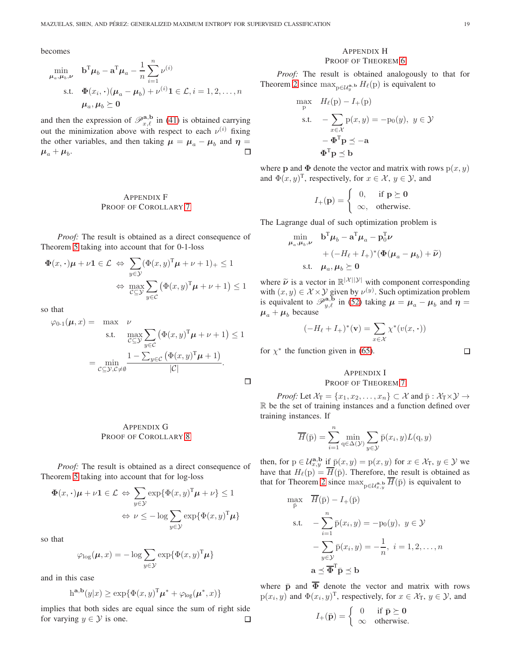becomes

$$
\min_{\mu_a, \mu_b, \nu} \quad \mathbf{b}^{\mathrm{T}} \mu_b - \mathbf{a}^{\mathrm{T}} \mu_a - \frac{1}{n} \sum_{i=1}^n \nu^{(i)}
$$
\n
$$
\text{s.t.} \quad \Phi(x_i, \cdot) (\mu_a - \mu_b) + \nu^{(i)} \mathbf{1} \in \mathcal{L}, i = 1, 2, \dots, n
$$
\n
$$
\mu_a, \mu_b \succeq \mathbf{0}
$$

and then the expression of  $\mathscr{P}_{x,\ell}^{\mathbf{a},\mathbf{b}}$  in [\(41\)](#page-9-7) is obtained carrying out the minimization above with respect to each  $\nu^{(i)}$  fixing the other variables, and then taking  $\mu = \mu_a - \mu_b$  and  $\eta =$  $\mu_a + \mu_b$ .  $\Box$ 

# <span id="page-18-0"></span>APPENDIX F PROOF OF COROLLARY [7](#page-9-1)

*Proof:* The result is obtained as a direct consequence of Theorem [5](#page-9-3) taking into account that for 0-1-loss

$$
\Phi(x, \cdot)\mu + \nu \mathbf{1} \in \mathcal{L} \Leftrightarrow \sum_{y \in \mathcal{Y}} (\Phi(x, y)^{\mathrm{T}} \mu + \nu + 1)_{+} \le 1
$$

$$
\Leftrightarrow \max_{\mathcal{C} \subseteq \mathcal{Y}} \sum_{y \in \mathcal{C}} (\Phi(x, y)^{\mathrm{T}} \mu + \nu + 1) \le 1
$$

so that

$$
\varphi_{0\text{-}1}(\boldsymbol{\mu},x) = \max_{\mathcal{C}\subseteq\mathcal{Y}} \nu \text{ s.t. } \max_{\mathcal{C}\subseteq\mathcal{Y}} \sum_{y\in\mathcal{C}} \left(\Phi(x,y)^{\text{T}}\boldsymbol{\mu} + \nu + 1\right) \le 1
$$

$$
= \min_{\mathcal{C}\subseteq\mathcal{Y},\mathcal{C}\neq\emptyset} \frac{1 - \sum_{y\in\mathcal{C}} \left(\Phi(x,y)^{\text{T}}\boldsymbol{\mu} + 1\right)}{|\mathcal{C}|}.
$$

<span id="page-18-1"></span>APPENDIX G PROOF OF COROLLARY [8](#page-9-2)

*Proof:* The result is obtained as a direct consequence of Theorem [5](#page-9-3) taking into account that for log-loss

$$
\Phi(x, \cdot)\mu + \nu \mathbf{1} \in \mathcal{L} \Leftrightarrow \sum_{y \in \mathcal{Y}} \exp{\{\Phi(x, y)^{\mathrm{T}}\mu + \nu\}} \le 1
$$

$$
\Leftrightarrow \nu \le -\log \sum_{y \in \mathcal{Y}} \exp{\{\Phi(x, y)^{\mathrm{T}}\mu\}}
$$

so that

$$
\varphi_{\log}(\boldsymbol{\mu},x) = -\log \sum_{y \in \mathcal{Y}} \exp \{ \Phi(x,y)^{\mathrm{T}} \boldsymbol{\mu} \}
$$

and in this case

$$
h^{\mathbf{a},\mathbf{b}}(y|x) \ge \exp{\{\Phi(x,y)^{\mathrm{T}}\boldsymbol{\mu}^* + \varphi_{\log}(\boldsymbol{\mu}^*,x)\}}
$$

implies that both sides are equal since the sum of right side for varying  $y \in \mathcal{Y}$  is one.  $\Box$ 

## <span id="page-18-2"></span>APPENDIX H PROOF OF THEOREM [6](#page-10-3)

*Proof:* The result is obtained analogously to that for Theorem [2](#page-5-7) since  $\max_{p \in \mathcal{U}_y^{\mathbf{a},\mathbf{b}}} H_\ell(p)$  is equivalent to

$$
\max_{\mathbf{p}} \quad H_{\ell}(\mathbf{p}) - I_{+}(\mathbf{p})
$$
\n
$$
\text{s.t.} \quad -\sum_{x \in \mathcal{X}} \mathbf{p}(x, y) = -\mathbf{p}_0(y), \ y \in \mathcal{Y}
$$
\n
$$
-\Phi^{\mathrm{T}} \mathbf{p} \preceq -\mathbf{a}
$$
\n
$$
\Phi^{\mathrm{T}} \mathbf{p} \preceq \mathbf{b}
$$

where **p** and  $\Phi$  denote the vector and matrix with rows  $p(x, y)$ and  $\Phi(x, y)^{\text{T}}$ , respectively, for  $x \in \mathcal{X}$ ,  $y \in \mathcal{Y}$ , and

$$
I_{+}(\mathbf{p}) = \begin{cases} 0, & \text{if } \mathbf{p} \succeq \mathbf{0} \\ \infty, & \text{otherwise.} \end{cases}
$$

The Lagrange dual of such optimization problem is

$$
\min_{\mu_a, \mu_b, \nu} \quad \mathbf{b}^{\mathrm{T}} \mu_b - \mathbf{a}^{\mathrm{T}} \mu_a - \mathbf{p}_0^{\mathrm{T}} \nu \n+ (-H_\ell + I_+)^* (\Phi(\mu_a - \mu_b) + \widetilde{\nu}) \n\text{s.t.} \quad \mu_a, \mu_b \succeq \mathbf{0}
$$

where  $\tilde{\nu}$  is a vector in  $\mathbb{R}^{|\mathcal{X}||\mathcal{Y}|}$  with component corresponding with  $(x, y) \in \mathcal{X} \times \mathcal{Y}$  given by  $\nu^{(y)}$ . Such optimization problem is equivalent to  $\mathscr{P}_{y,\ell}^{{\bf a},{\bf b}}$  in [\(52\)](#page-10-2) taking  $\mu = \mu_a - \mu_b$  and  $\eta =$  $\mu_a + \mu_b$  because

$$
(-H_{\ell} + I_{+})^{*}(\mathbf{v}) = \sum_{x \in \mathcal{X}} \chi^{*}(v(x, \cdot))
$$

for  $\chi^*$  the function given in [\(65\)](#page-15-4).

 $\hfill \square$ 

# <span id="page-18-3"></span>APPENDIX I PROOF OF THEOREM [7](#page-10-4)

*Proof:* Let  $\mathcal{X}_T = \{x_1, x_2, \ldots, x_n\} \subset \mathcal{X}$  and  $\bar{p} : \mathcal{X}_T \times \mathcal{Y} \to$ R be the set of training instances and a function defined over training instances. If

$$
\overline{H}(\overline{p}) = \sum_{i=1}^{n} \min_{q \in \Delta(\mathcal{Y})} \sum_{y \in \mathcal{Y}} \overline{p}(x_i, y) L(q, y)
$$

then, for  $p \in \mathcal{U}_{x,y}^{\mathbf{a},\mathbf{b}}$  if  $\bar{p}(x, y) = p(x, y)$  for  $x \in \mathcal{X}_{T}$ ,  $y \in \mathcal{Y}$  we have that  $H_{\ell}(p) = \overline{H}(\bar{p})$ . Therefore, the result is obtained as that for Theorem [2](#page-5-7) since  $\max_{p \in \mathcal{U}_{x,y}^{\mathbf{a},\mathbf{b}}} H(\bar{p})$  is equivalent to

$$
\max_{\bar{p}} \quad H(\bar{p}) - I_{+}(\bar{p})
$$
\n
$$
\text{s.t.} \quad -\sum_{i=1}^{n} \bar{p}(x_i, y) = -p_0(y), \ y \in \mathcal{Y}
$$
\n
$$
-\sum_{y \in \mathcal{Y}} \bar{p}(x_i, y) = -\frac{1}{n}, \ i = 1, 2, \dots, n
$$
\n
$$
\mathbf{a} \preceq \overline{\Phi}^{\mathrm{T}} \bar{\mathbf{p}} \preceq \mathbf{b}
$$

where  $\bar{p}$  and  $\bar{\Phi}$  denote the vector and matrix with rows  $p(x_i, y)$  and  $\Phi(x_i, y)^T$ , respectively, for  $x \in \mathcal{X}_T$ ,  $y \in \mathcal{Y}$ , and

$$
I_{+}(\bar{\mathbf{p}}) = \begin{cases} 0 & \text{if } \bar{\mathbf{p}} \succeq \mathbf{0} \\ \infty & \text{otherwise.} \end{cases}
$$

 $\Box$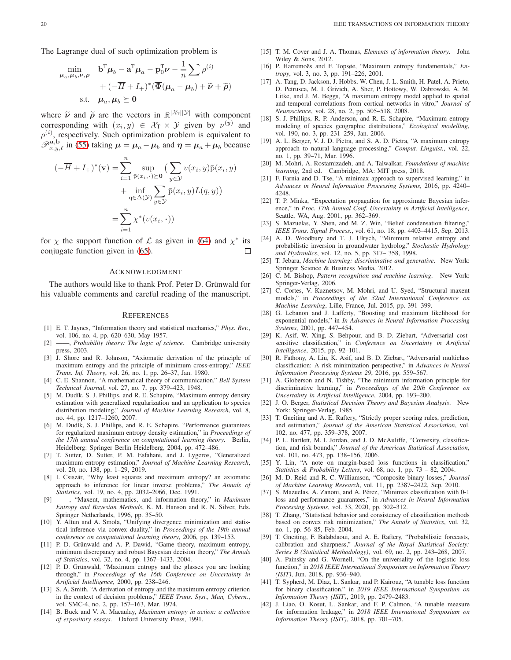The Lagrange dual of such optimization problem is

$$
\min_{\mu_a, \mu_b, \nu, \rho} \quad \mathbf{b}^{\mathrm{T}} \mu_b - \mathbf{a}^{\mathrm{T}} \mu_a - \mathbf{p}_0^{\mathrm{T}} \nu - \frac{1}{n} \sum \rho^{(i)} \\
+ (-\overline{H} + I_+)^* (\overline{\Phi}(\mu_a - \mu_b) + \widetilde{\nu} + \widetilde{\rho}) \\
\text{s.t.} \quad \mu_a, \mu_b \succeq 0
$$

where  $\tilde{\nu}$  and  $\tilde{\rho}$  are the vectors in  $\mathbb{R}^{|\mathcal{X}_{T}||\mathcal{Y}|}$  with component corresponding with  $(x_i, y) \in \mathcal{X}_T \times \mathcal{Y}$  given by  $\nu^{(y)}$  and  $\rho^{(i)}$ , respectively. Such optimization problem is equivalent to  $\mathscr{P}_{x,y,\ell}^{\mathbf{a},\mathbf{b}}$  in [\(55\)](#page-10-5) taking  $\mu = \mu_a - \mu_b$  and  $\eta = \mu_a + \mu_b$  because

$$
(-\overline{H} + I_{+})^{*}(\mathbf{v}) = \sum_{i=1}^{n} \sup_{\bar{p}(x_{i}, \cdot) \succeq \mathbf{0}} \left( \sum_{y \in \mathcal{Y}} v(x_{i}, y)\bar{p}(x_{i}, y) + \inf_{q \in \Delta(\mathcal{Y})} \sum_{y \in \mathcal{Y}} \bar{p}(x_{i}, y)L(q, y) \right)
$$

$$
= \sum_{i=1}^{n} \chi^{*}(v(x_{i}, \cdot))
$$

for  $\chi$  the support function of  $\mathcal L$  as given in [\(64\)](#page-15-3) and  $\chi^*$  its conjugate function given in [\(65\)](#page-15-4).

#### ACKNOWLEDGMENT

The authors would like to thank Prof. Peter D. Grünwald for his valuable comments and careful reading of the manuscript.

#### **REFERENCES**

- <span id="page-19-0"></span>[1] E. T. Jaynes, "Information theory and statistical mechanics," *Phys. Rev.*, vol. 106, no. 4, pp. 620–630, May 1957.
- [2] ——, *Probability theory: The logic of science*. Cambridge university press, 2003.
- <span id="page-19-1"></span>[3] J. Shore and R. Johnson, "Axiomatic derivation of the principle of maximum entropy and the principle of minimum cross-entropy," *IEEE Trans. Inf. Theory*, vol. 26, no. 1, pp. 26–37, Jan. 1980.
- <span id="page-19-2"></span>[4] C. E. Shannon, "A mathematical theory of communication," *Bell System Technical Journal*, vol. 27, no. 7, pp. 379–423, 1948.
- <span id="page-19-3"></span>[5] M. Dudík, S. J. Phillips, and R. E. Schapire, "Maximum entropy density estimation with generalized regularization and an application to species distribution modeling," *Journal of Machine Learning Research*, vol. 8, no. 44, pp. 1217–1260, 2007.
- <span id="page-19-36"></span>[6] M. Dudík, S. J. Phillips, and R. E. Schapire, "Performance guarantees for regularized maximum entropy density estimation," in *Proceedings of the 17th annual conference on computational learning theory*. Berlin, Heidelberg: Springer Berlin Heidelberg, 2004, pp. 472–486.
- <span id="page-19-4"></span>[7] T. Sutter, D. Sutter, P. M. Esfahani, and J. Lygeros, "Generalized maximum entropy estimation," *Journal of Machine Learning Research*, vol. 20, no. 138, pp. 1–29, 2019.
- <span id="page-19-5"></span>[8] I. Csiszár, "Why least squares and maximum entropy? an axiomatic approach to inference for linear inverse problems," *The Annals of Statistics*, vol. 19, no. 4, pp. 2032–2066, Dec. 1991.
- [9] ——, "Maxent, mathematics, and information theory," in *Maximum Entropy and Bayesian Methods*, K. M. Hanson and R. N. Silver, Eds. Springer Netherlands, 1996, pp. 35–50.
- [10] Y. Altun and A. Smola, "Unifying divergence minimization and statistical inference via convex duality," in *Proceedings of the 19th annual conference on computational learning theory*, 2006, pp. 139–153.
- <span id="page-19-6"></span>[11] P. D. Grünwald and A. P. Dawid, "Game theory, maximum entropy, minimum discrepancy and robust Bayesian decision theory," *The Annals of Statistics*, vol. 32, no. 4, pp. 1367–1433, 2004.
- [12] P. D. Grünwald, "Maximum entropy and the glasses you are looking through," in *Proceedings of the 16th Conference on Uncertainty in Artificial Intelligence*, 2000, pp. 238–246.
- <span id="page-19-7"></span>[13] S. A. Smith, "A derivation of entropy and the maximum entropy criterion in the context of decision problems," *IEEE Trans. Syst., Man, Cybern.*, vol. SMC-4, no. 2, pp. 157–163, Mar. 1974.
- <span id="page-19-8"></span>[14] B. Buck and V. A. Macaulay, *Maximum entropy in action: a collection of expository essays*. Oxford University Press, 1991.
- <span id="page-19-9"></span>[15] T. M. Cover and J. A. Thomas, *Elements of information theory*. John Wiley & Sons, 2012.
- <span id="page-19-10"></span>[16] P. Harremoës and F. Topsøe, "Maximum entropy fundamentals," *Entropy*, vol. 3, no. 3, pp. 191–226, 2001.
- <span id="page-19-11"></span>[17] A. Tang, D. Jackson, J. Hobbs, W. Chen, J. L. Smith, H. Patel, A. Prieto, D. Petrusca, M. I. Grivich, A. Sher, P. Hottowy, W. Dabrowski, A. M. Litke, and J. M. Beggs, "A maximum entropy model applied to spatial and temporal correlations from cortical networks in vitro," *Journal of Neuroscience*, vol. 28, no. 2, pp. 505–518, 2008.
- <span id="page-19-12"></span>[18] S. J. Phillips, R. P. Anderson, and R. E. Schapire, "Maximum entropy modeling of species geographic distributions," *Ecological modelling*, vol. 190, no. 3, pp. 231–259, Jan. 2006.
- <span id="page-19-13"></span>[19] A. L. Berger, V. J. D. Pietra, and S. A. D. Pietra, "A maximum entropy approach to natural language processing," *Comput. Linguist.*, vol. 22, no. 1, pp. 39–71, Mar. 1996.
- <span id="page-19-14"></span>[20] M. Mohri, A. Rostamizadeh, and A. Talwalkar, *Foundations of machine learning*, 2nd ed. Cambridge, MA: MIT press, 2018.
- <span id="page-19-15"></span>[21] F. Farnia and D. Tse, "A minimax approach to supervised learning," in *Advances in Neural Information Processing Systems*, 2016, pp. 4240– 4248.
- <span id="page-19-16"></span>[22] T. P. Minka, "Expectation propagation for approximate Bayesian inference," in *Proc. 17th Annual Conf. Uncertainty in Artificial Intelligence*, Seattle, WA, Aug. 2001, pp. 362–369.
- <span id="page-19-17"></span>[23] S. Mazuelas, Y. Shen, and M. Z. Win, "Belief condensation filtering," *IEEE Trans. Signal Process.*, vol. 61, no. 18, pp. 4403–4415, Sep. 2013.
- <span id="page-19-18"></span>[24] A. D. Woodbury and T. J. Ulrych, "Minimum relative entropy and probabilistic inversion in groundwater hydrolog," *Stochastic Hydrology and Hydraulics*, vol. 12, no. 5, pp. 317– 358, 1998.
- <span id="page-19-19"></span>[25] T. Jebara, *Machine learning: discriminative and generative*. New York: Springer Science & Business Media, 2012.
- <span id="page-19-20"></span>[26] C. M. Bishop, *Pattern recognition and machine learning*. New York: Springer-Verlag, 2006.
- <span id="page-19-21"></span>[27] C. Cortes, V. Kuznetsov, M. Mohri, and U. Syed, "Structural maxent models," in *Proceedings of the 32nd International Conference on Machine Learning*, Lille, France, Jul. 2015, pp. 391–399.
- <span id="page-19-22"></span>[28] G. Lebanon and J. Lafferty, "Boosting and maximum likelihood for exponential models," in *In Advances in Neural Information Processing Systems*, 2001, pp. 447–454.
- <span id="page-19-23"></span>[29] K. Asif, W. Xing, S. Behpour, and B. D. Ziebart, "Adversarial costsensitive classification," in *Conference on Uncertainty in Artificial Intelligence*, 2015, pp. 92–101.
- <span id="page-19-29"></span>[30] R. Fathony, A. Liu, K. Asif, and B. D. Ziebart, "Adversarial multiclass classification: A risk minimization perspective," in *Advances in Neural Information Processing Systems 29*, 2016, pp. 559–567.
- <span id="page-19-24"></span>[31] A. Globerson and N. Tishby, "The minimum information principle for discriminative learning," in *Proceedings of the 20th Conference on Uncertainty in Artificial Intelligence*, 2004, pp. 193–200.
- <span id="page-19-25"></span>[32] J. O. Berger, *Statistical Decision Theory and Bayesian Analysis*. New York: Springer-Verlag, 1985.
- <span id="page-19-26"></span>[33] T. Gneiting and A. E. Raftery, "Strictly proper scoring rules, prediction, and estimation," *Journal of the American Statistical Association*, vol. 102, no. 477, pp. 359–378, 2007.
- <span id="page-19-27"></span>[34] P. L. Bartlett, M. I. Jordan, and J. D. McAuliffe, "Convexity, classification, and risk bounds," *Journal of the American Statistical Association*, vol. 101, no. 473, pp. 138–156, 2006.
- [35] Y. Lin, "A note on margin-based loss functions in classification," *Statistics & Probability Letters*, vol. 68, no. 1, pp. 73 – 82, 2004.
- <span id="page-19-28"></span>[36] M. D. Reid and R. C. Williamson, "Composite binary losses," *Journal of Machine Learning Research*, vol. 11, pp. 2387–2422, Sep. 2010.
- <span id="page-19-30"></span>S. Mazuelas, A. Zanoni, and A. Pérez, "Minimax classification with 0-1 loss and performance guarantees," in *Advances in Neural Information Processing Systems*, vol. 33, 2020, pp. 302–312.
- <span id="page-19-31"></span>[38] T. Zhang, "Statistical behavior and consistency of classification methods based on convex risk minimization," *The Annals of Statistics*, vol. 32, no. 1, pp. 56–85, Feb. 2004.
- <span id="page-19-32"></span>[39] T. Gneiting, F. Balabdaoui, and A. E. Raftery, "Probabilistic forecasts, calibration and sharpness," *Journal of the Royal Statistical Society: Series B (Statistical Methodology)*, vol. 69, no. 2, pp. 243–268, 2007.
- <span id="page-19-33"></span>[40] A. Painsky and G. Wornell, "On the universality of the logistic loss function," in *2018 IEEE International Symposium on Information Theory (ISIT)*, Jun. 2018, pp. 936–940.
- <span id="page-19-34"></span>[41] T. Sypherd, M. Diaz, L. Sankar, and P. Kairouz, "A tunable loss function for binary classification," in *2019 IEEE International Symposium on Information Theory (ISIT)*, 2019, pp. 2479–2483.
- <span id="page-19-35"></span>[42] J. Liao, O. Kosut, L. Sankar, and F. P. Calmon, "A tunable measure for information leakage," in *2018 IEEE International Symposium on Information Theory (ISIT)*, 2018, pp. 701–705.